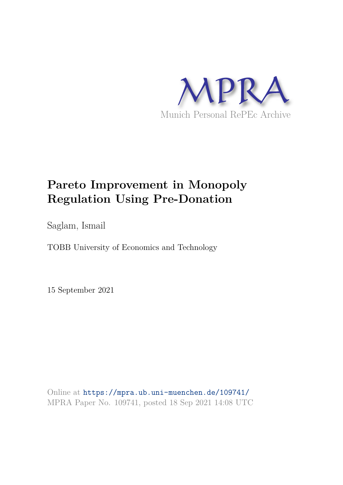

# **Pareto Improvement in Monopoly Regulation Using Pre-Donation**

Saglam, Ismail

TOBB University of Economics and Technology

15 September 2021

Online at https://mpra.ub.uni-muenchen.de/109741/ MPRA Paper No. 109741, posted 18 Sep 2021 14:08 UTC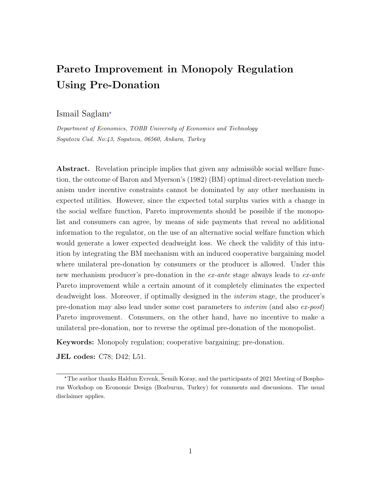## Pareto Improvement in Monopoly Regulation Using Pre-Donation

#### Ismail Saglam✯

*Department of Economics, TOBB University of Economics and Technology Sogutozu Cad. No:43, Sogutozu, 06560, Ankara, Turkey*

Abstract. Revelation principle implies that given any admissible social welfare function, the outcome of Baron and Myerson's (1982) (BM) optimal direct-revelation mechanism under incentive constraints cannot be dominated by any other mechanism in expected utilities. However, since the expected total surplus varies with a change in the social welfare function, Pareto improvements should be possible if the monopolist and consumers can agree, by means of side payments that reveal no additional information to the regulator, on the use of an alternative social welfare function which would generate a lower expected deadweight loss. We check the validity of this intuition by integrating the BM mechanism with an induced cooperative bargaining model where unilateral pre-donation by consumers or the producer is allowed. Under this new mechanism producer's pre-donation in the ex-ante stage always leads to ex-ante Pareto improvement while a certain amount of it completely eliminates the expected deadweight loss. Moreover, if optimally designed in the interim stage, the producer's pre-donation may also lead under some cost parameters to interim (and also ex-post) Pareto improvement. Consumers, on the other hand, have no incentive to make a unilateral pre-donation, nor to reverse the optimal pre-donation of the monopolist.

Keywords: Monopoly regulation; cooperative bargaining; pre-donation.

JEL codes: C78; D42; L51.

<sup>✯</sup>The author thanks Haldun Evrenk, Semih Koray, and the participants of 2021 Meeting of Bosphorus Workshop on Economic Design (Bozburun, Turkey) for comments and discussions. The usual disclaimer applies.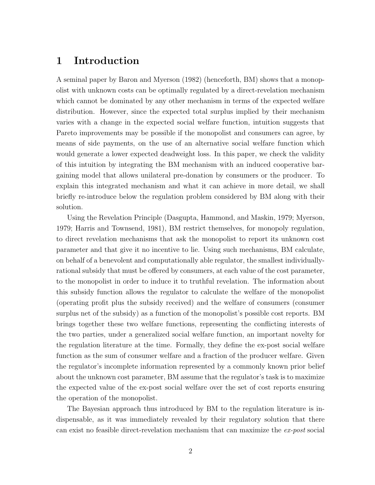## 1 Introduction

A seminal paper by Baron and Myerson (1982) (henceforth, BM) shows that a monopolist with unknown costs can be optimally regulated by a direct-revelation mechanism which cannot be dominated by any other mechanism in terms of the expected welfare distribution. However, since the expected total surplus implied by their mechanism varies with a change in the expected social welfare function, intuition suggests that Pareto improvements may be possible if the monopolist and consumers can agree, by means of side payments, on the use of an alternative social welfare function which would generate a lower expected deadweight loss. In this paper, we check the validity of this intuition by integrating the BM mechanism with an induced cooperative bargaining model that allows unilateral pre-donation by consumers or the producer. To explain this integrated mechanism and what it can achieve in more detail, we shall briefly re-introduce below the regulation problem considered by BM along with their solution.

Using the Revelation Principle (Dasgupta, Hammond, and Maskin, 1979; Myerson, 1979; Harris and Townsend, 1981), BM restrict themselves, for monopoly regulation, to direct revelation mechanisms that ask the monopolist to report its unknown cost parameter and that give it no incentive to lie. Using such mechanisms, BM calculate, on behalf of a benevolent and computationally able regulator, the smallest individuallyrational subsidy that must be offered by consumers, at each value of the cost parameter, to the monopolist in order to induce it to truthful revelation. The information about this subsidy function allows the regulator to calculate the welfare of the monopolist (operating profit plus the subsidy received) and the welfare of consumers (consumer surplus net of the subsidy) as a function of the monopolist's possible cost reports. BM brings together these two welfare functions, representing the conflicting interests of the two parties, under a generalized social welfare function, an important novelty for the regulation literature at the time. Formally, they define the ex-post social welfare function as the sum of consumer welfare and a fraction of the producer welfare. Given the regulator's incomplete information represented by a commonly known prior belief about the unknown cost parameter, BM assume that the regulator's task is to maximize the expected value of the ex-post social welfare over the set of cost reports ensuring the operation of the monopolist.

The Bayesian approach thus introduced by BM to the regulation literature is indispensable, as it was immediately revealed by their regulatory solution that there can exist no feasible direct-revelation mechanism that can maximize the ex-post social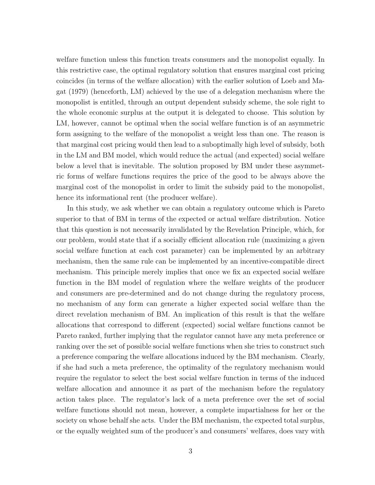welfare function unless this function treats consumers and the monopolist equally. In this restrictive case, the optimal regulatory solution that ensures marginal cost pricing coincides (in terms of the welfare allocation) with the earlier solution of Loeb and Magat (1979) (henceforth, LM) achieved by the use of a delegation mechanism where the monopolist is entitled, through an output dependent subsidy scheme, the sole right to the whole economic surplus at the output it is delegated to choose. This solution by LM, however, cannot be optimal when the social welfare function is of an asymmetric form assigning to the welfare of the monopolist a weight less than one. The reason is that marginal cost pricing would then lead to a suboptimally high level of subsidy, both in the LM and BM model, which would reduce the actual (and expected) social welfare below a level that is inevitable. The solution proposed by BM under these asymmetric forms of welfare functions requires the price of the good to be always above the marginal cost of the monopolist in order to limit the subsidy paid to the monopolist, hence its informational rent (the producer welfare).

In this study, we ask whether we can obtain a regulatory outcome which is Pareto superior to that of BM in terms of the expected or actual welfare distribution. Notice that this question is not necessarily invalidated by the Revelation Principle, which, for our problem, would state that if a socially efficient allocation rule (maximizing a given social welfare function at each cost parameter) can be implemented by an arbitrary mechanism, then the same rule can be implemented by an incentive-compatible direct mechanism. This principle merely implies that once we fix an expected social welfare function in the BM model of regulation where the welfare weights of the producer and consumers are pre-determined and do not change during the regulatory process, no mechanism of any form can generate a higher expected social welfare than the direct revelation mechanism of BM. An implication of this result is that the welfare allocations that correspond to different (expected) social welfare functions cannot be Pareto ranked, further implying that the regulator cannot have any meta preference or ranking over the set of possible social welfare functions when she tries to construct such a preference comparing the welfare allocations induced by the BM mechanism. Clearly, if she had such a meta preference, the optimality of the regulatory mechanism would require the regulator to select the best social welfare function in terms of the induced welfare allocation and announce it as part of the mechanism before the regulatory action takes place. The regulator's lack of a meta preference over the set of social welfare functions should not mean, however, a complete impartialness for her or the society on whose behalf she acts. Under the BM mechanism, the expected total surplus, or the equally weighted sum of the producer's and consumers' welfares, does vary with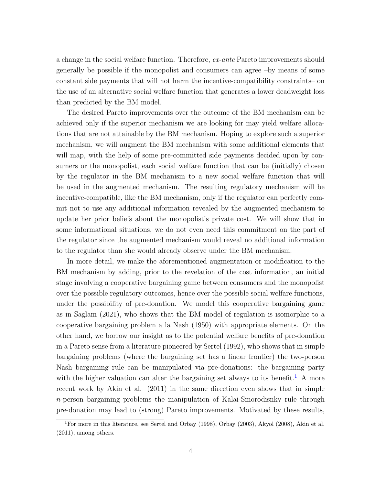a change in the social welfare function. Therefore, ex-ante Pareto improvements should generally be possible if the monopolist and consumers can agree –by means of some constant side payments that will not harm the incentive-compatibility constraints– on the use of an alternative social welfare function that generates a lower deadweight loss than predicted by the BM model.

The desired Pareto improvements over the outcome of the BM mechanism can be achieved only if the superior mechanism we are looking for may yield welfare allocations that are not attainable by the BM mechanism. Hoping to explore such a superior mechanism, we will augment the BM mechanism with some additional elements that will map, with the help of some pre-committed side payments decided upon by consumers or the monopolist, each social welfare function that can be (initially) chosen by the regulator in the BM mechanism to a new social welfare function that will be used in the augmented mechanism. The resulting regulatory mechanism will be incentive-compatible, like the BM mechanism, only if the regulator can perfectly commit not to use any additional information revealed by the augmented mechanism to update her prior beliefs about the monopolist's private cost. We will show that in some informational situations, we do not even need this commitment on the part of the regulator since the augmented mechanism would reveal no additional information to the regulator than she would already observe under the BM mechanism.

In more detail, we make the aforementioned augmentation or modification to the BM mechanism by adding, prior to the revelation of the cost information, an initial stage involving a cooperative bargaining game between consumers and the monopolist over the possible regulatory outcomes, hence over the possible social welfare functions, under the possibility of pre-donation. We model this cooperative bargaining game as in Saglam (2021), who shows that the BM model of regulation is isomorphic to a cooperative bargaining problem a la Nash (1950) with appropriate elements. On the other hand, we borrow our insight as to the potential welfare benefits of pre-donation in a Pareto sense from a literature pioneered by Sertel (1992), who shows that in simple bargaining problems (where the bargaining set has a linear frontier) the two-person Nash bargaining rule can be manipulated via pre-donations: the bargaining party with the higher valuation can alter the bargaining set always to its benefit.<sup>1</sup> A more recent work by Akin et al. (2011) in the same direction even shows that in simple n-person bargaining problems the manipulation of Kalai-Smorodisnky rule through pre-donation may lead to (strong) Pareto improvements. Motivated by these results,

<sup>1</sup>For more in this literature, see Sertel and Orbay (1998), Orbay (2003), Akyol (2008), Akin et al. (2011), among others.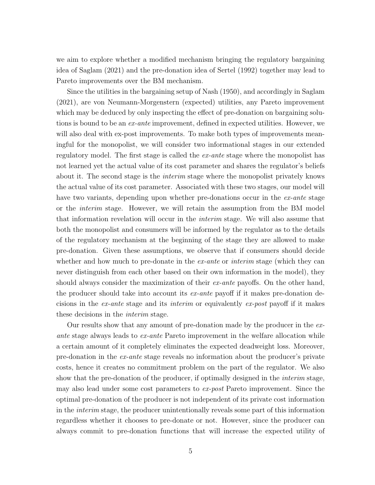we aim to explore whether a modified mechanism bringing the regulatory bargaining idea of Saglam (2021) and the pre-donation idea of Sertel (1992) together may lead to Pareto improvements over the BM mechanism.

Since the utilities in the bargaining setup of Nash (1950), and accordingly in Saglam (2021), are von Neumann-Morgenstern (expected) utilities, any Pareto improvement which may be deduced by only inspecting the effect of pre-donation on bargaining solutions is bound to be an ex-ante improvement, defined in expected utilities. However, we will also deal with ex-post improvements. To make both types of improvements meaningful for the monopolist, we will consider two informational stages in our extended regulatory model. The first stage is called the *ex-ante* stage where the monopolist has not learned yet the actual value of its cost parameter and shares the regulator's beliefs about it. The second stage is the interim stage where the monopolist privately knows the actual value of its cost parameter. Associated with these two stages, our model will have two variants, depending upon whether pre-donations occur in the ex-ante stage or the interim stage. However, we will retain the assumption from the BM model that information revelation will occur in the interim stage. We will also assume that both the monopolist and consumers will be informed by the regulator as to the details of the regulatory mechanism at the beginning of the stage they are allowed to make pre-donation. Given these assumptions, we observe that if consumers should decide whether and how much to pre-donate in the  $ex\text{-}ante$  or interim stage (which they can never distinguish from each other based on their own information in the model), they should always consider the maximization of their *ex-ante* payoffs. On the other hand, the producer should take into account its  $ex$ -ante payoff if it makes pre-donation decisions in the  $ex$ -ante stage and its *interim* or equivalently  $ex$ -post payoff if it makes these decisions in the *interim* stage.

Our results show that any amount of pre-donation made by the producer in the exante stage always leads to ex-ante Pareto improvement in the welfare allocation while a certain amount of it completely eliminates the expected deadweight loss. Moreover, pre-donation in the ex-ante stage reveals no information about the producer's private costs, hence it creates no commitment problem on the part of the regulator. We also show that the pre-donation of the producer, if optimally designed in the *interim* stage, may also lead under some cost parameters to  $ex\text{-}post$  Pareto improvement. Since the optimal pre-donation of the producer is not independent of its private cost information in the interim stage, the producer unintentionally reveals some part of this information regardless whether it chooses to pre-donate or not. However, since the producer can always commit to pre-donation functions that will increase the expected utility of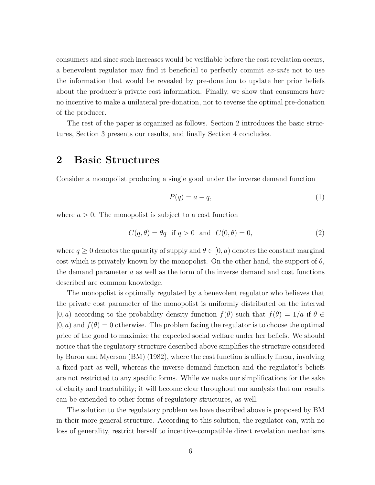consumers and since such increases would be verifiable before the cost revelation occurs, a benevolent regulator may find it beneficial to perfectly commit ex-ante not to use the information that would be revealed by pre-donation to update her prior beliefs about the producer's private cost information. Finally, we show that consumers have no incentive to make a unilateral pre-donation, nor to reverse the optimal pre-donation of the producer.

The rest of the paper is organized as follows. Section 2 introduces the basic structures, Section 3 presents our results, and finally Section 4 concludes.

## 2 Basic Structures

Consider a monopolist producing a single good under the inverse demand function

$$
P(q) = a - q,\tag{1}
$$

where  $a > 0$ . The monopolist is subject to a cost function

$$
C(q, \theta) = \theta q \quad \text{if } q > 0 \quad \text{and} \quad C(0, \theta) = 0,\tag{2}
$$

where  $q \geq 0$  denotes the quantity of supply and  $\theta \in [0, a)$  denotes the constant marginal cost which is privately known by the monopolist. On the other hand, the support of  $\theta$ , the demand parameter  $a$  as well as the form of the inverse demand and cost functions described are common knowledge.

The monopolist is optimally regulated by a benevolent regulator who believes that the private cost parameter of the monopolist is uniformly distributed on the interval  $[0, a)$  according to the probability density function  $f(\theta)$  such that  $f(\theta) = 1/a$  if  $\theta \in$  $[0, a)$  and  $f(\theta) = 0$  otherwise. The problem facing the regulator is to choose the optimal price of the good to maximize the expected social welfare under her beliefs. We should notice that the regulatory structure described above simplifies the structure considered by Baron and Myerson (BM) (1982), where the cost function is affinely linear, involving a fixed part as well, whereas the inverse demand function and the regulator's beliefs are not restricted to any specific forms. While we make our simplifications for the sake of clarity and tractability; it will become clear throughout our analysis that our results can be extended to other forms of regulatory structures, as well.

The solution to the regulatory problem we have described above is proposed by BM in their more general structure. According to this solution, the regulator can, with no loss of generality, restrict herself to incentive-compatible direct revelation mechanisms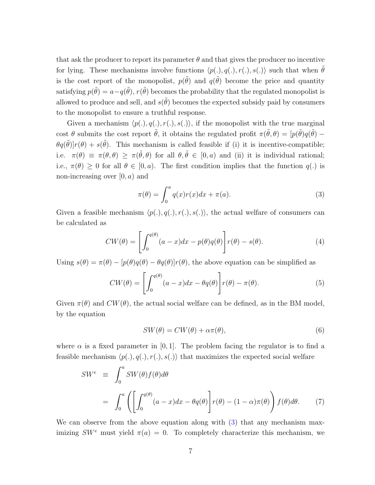that ask the producer to report its parameter  $\theta$  and that gives the producer no incentive for lying. These mechanisms involve functions  $\langle p(.)$ ,  $q(.)$ ,  $r(.)$ ,  $s(.)$  such that when  $\tilde{\theta}$ is the cost report of the monopolist,  $p(\tilde{\theta})$  and  $q(\tilde{\theta})$  become the price and quantity satisfying  $p(\tilde{\theta}) = a - q(\tilde{\theta}), r(\tilde{\theta})$  becomes the probability that the regulated monopolist is allowed to produce and sell, and  $s(\tilde{\theta})$  becomes the expected subsidy paid by consumers to the monopolist to ensure a truthful response.

Given a mechanism  $\langle p(.)$ ,  $q(.)$ ,  $r(.)$ ,  $s(.)$ , if the monopolist with the true marginal cost  $\theta$  submits the cost report  $\tilde{\theta}$ , it obtains the regulated profit  $\pi(\tilde{\theta}, \theta) = [p(\tilde{\theta})q(\tilde{\theta}) - p(\tilde{\theta})q(\tilde{\theta})]$  $\theta q(\tilde{\theta})|r(\theta) + s(\tilde{\theta})$ . This mechanism is called feasible if (i) it is incentive-compatible; i.e.  $\pi(\theta) \equiv \pi(\theta, \theta) \geq \pi(\tilde{\theta}, \theta)$  for all  $\theta, \tilde{\theta} \in [0, a)$  and (ii) it is individual rational; i.e.,  $\pi(\theta) \geq 0$  for all  $\theta \in [0, a)$ . The first condition implies that the function  $q(.)$  is non-increasing over  $[0, a)$  and

$$
\pi(\theta) = \int_0^a q(x)r(x)dx + \pi(a).
$$
\n(3)

Given a feasible mechanism  $\langle p(.)$ ,  $q(.)$ ,  $r(.)$ ,  $s(.)$ , the actual welfare of consumers can be calculated as

$$
CW(\theta) = \left[ \int_0^{q(\theta)} (a - x) dx - p(\theta) q(\theta) \right] r(\theta) - s(\theta). \tag{4}
$$

Using  $s(\theta) = \pi(\theta) - [p(\theta)q(\theta) - \theta q(\theta)]r(\theta)$ , the above equation can be simplified as

$$
CW(\theta) = \left[ \int_0^{q(\theta)} (a - x) dx - \theta q(\theta) \right] r(\theta) - \pi(\theta). \tag{5}
$$

Given  $\pi(\theta)$  and  $CW(\theta)$ , the actual social welfare can be defined, as in the BM model, by the equation

$$
SW(\theta) = CW(\theta) + \alpha \pi(\theta), \tag{6}
$$

where  $\alpha$  is a fixed parameter in [0, 1]. The problem facing the regulator is to find a feasible mechanism  $\langle p(.)$ ,  $q(.)$ ,  $r(.)$ ,  $s(.)$  that maximizes the expected social welfare

$$
SW^{e} \equiv \int_{0}^{a} SW(\theta) f(\theta) d\theta
$$

$$
= \int_{0}^{a} \left( \left[ \int_{0}^{q(\theta)} (a - x) dx - \theta q(\theta) \right] r(\theta) - (1 - \alpha) \pi(\theta) \right) f(\theta) d\theta. \tag{7}
$$

We can observe from the above equation along with  $(3)$  that any mechanism maximizing  $SW^e$  must yield  $\pi(a) = 0$ . To completely characterize this mechanism, we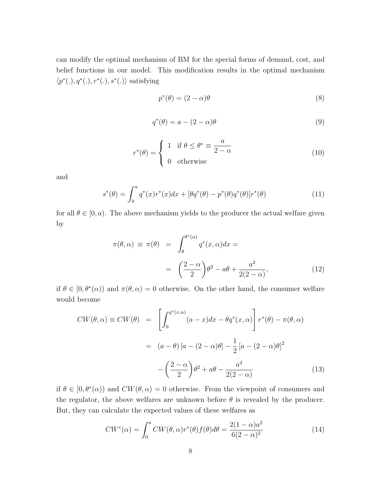can modify the optimal mechanism of BM for the special forms of demand, cost, and belief functions in our model. This modification results in the optimal mechanism  $\langle p^*(.) , q^*(.) , r^*(.) , s^*(.) \rangle$  satisfying

$$
p^*(\theta) = (2 - \alpha)\theta \tag{8}
$$

$$
q^*(\theta) = a - (2 - \alpha)\theta \tag{9}
$$

$$
r^*(\theta) = \begin{cases} 1 & \text{if } \theta \le \theta^* \equiv \frac{a}{2 - \alpha} \\ 0 & \text{otherwise} \end{cases}
$$
 (10)

and

$$
s^*(\theta) = \int_0^a q^*(x) r^*(x) dx + [\theta q^*(\theta) - p^*(\theta) q^*(\theta)] r^*(\theta)
$$
(11)

for all  $\theta \in [0, a)$ . The above mechanism yields to the producer the actual welfare given by

$$
\pi(\theta, \alpha) \equiv \pi(\theta) = \int_{\theta}^{\theta^*(\alpha)} q^*(x, \alpha) dx =
$$

$$
= \left(\frac{2-\alpha}{2}\right) \theta^2 - a\theta + \frac{a^2}{2(2-\alpha)},
$$
(12)

if  $\theta \in [0, \theta^*(\alpha))$  and  $\pi(\theta, \alpha) = 0$  otherwise. On the other hand, the consumer welfare would become

$$
CW(\theta, \alpha) \equiv CW(\theta) = \left[ \int_0^{q^*(x, \alpha)} (a - x) dx - \theta q^*(x, \alpha) \right] r^*(\theta) - \pi(\theta, \alpha)
$$

$$
= (a - \theta) [a - (2 - \alpha)\theta] - \frac{1}{2} [a - (2 - \alpha)\theta]^2
$$

$$
- \left( \frac{2 - \alpha}{2} \right) \theta^2 + a\theta - \frac{a^2}{2(2 - \alpha)} \tag{13}
$$

if  $\theta \in [0, \theta^*(\alpha))$  and  $CW(\theta, \alpha) = 0$  otherwise. From the viewpoint of consumers and the regulator, the above welfares are unknown before  $\theta$  is revealed by the producer. But, they can calculate the expected values of these welfares as

$$
CW^e(\alpha) = \int_0^a CW(\theta, \alpha) r^*(\theta) f(\theta) d\theta = \frac{2(1-\alpha)a^2}{6(2-\alpha)^2}
$$
(14)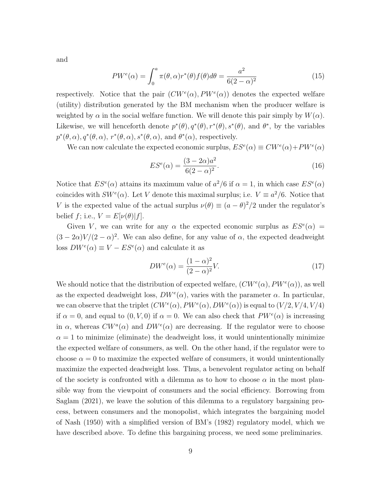and

$$
PW^e(\alpha) = \int_0^a \pi(\theta, \alpha) r^*(\theta) f(\theta) d\theta = \frac{a^2}{6(2-\alpha)^2}
$$
\n(15)

respectively. Notice that the pair  $(CW^e(\alpha), PW^e(\alpha))$  denotes the expected welfare (utility) distribution generated by the BM mechanism when the producer welfare is weighted by  $\alpha$  in the social welfare function. We will denote this pair simply by  $W(\alpha)$ . Likewise, we will henceforth denote  $p^*(\theta), q^*(\theta), r^*(\theta), s^*(\theta)$ , and  $\theta^*$ , by the variables  $p^*(\theta, \alpha), q^*(\theta, \alpha), r^*(\theta, \alpha), s^*(\theta, \alpha),$  and  $\theta^*(\alpha)$ , respectively.

We can now calculate the expected economic surplus,  $ES^{e}(\alpha) \equiv CW^{e}(\alpha) + PW^{e}(\alpha)$ 

$$
ES^{e}(\alpha) = \frac{(3 - 2\alpha)a^{2}}{6(2 - \alpha)^{2}}.
$$
\n(16)

Notice that  $ES^{e}(\alpha)$  attains its maximum value of  $a^{2}/6$  if  $\alpha = 1$ , in which case  $ES^{e}(\alpha)$ coincides with  $SW^e(\alpha)$ . Let V denote this maximal surplus; i.e.  $V \equiv a^2/6$ . Notice that V is the expected value of the actual surplus  $\nu(\theta) \equiv (a - \theta)^2/2$  under the regulator's belief f; i.e.,  $V = E[\nu(\theta)|f].$ 

Given V, we can write for any  $\alpha$  the expected economic surplus as  $ES^{e}(\alpha)$  =  $(3 - 2\alpha)V/(2 - \alpha)^2$ . We can also define, for any value of  $\alpha$ , the expected deadweight loss  $DW^e(\alpha) \equiv V - ES^e(\alpha)$  and calculate it as

$$
DW^e(\alpha) = \frac{(1-\alpha)^2}{(2-\alpha)^2}V.\tag{17}
$$

We should notice that the distribution of expected welfare,  $(CW^e(\alpha), PW^e(\alpha))$ , as well as the expected deadweight loss,  $DW^e(\alpha)$ , varies with the parameter  $\alpha$ . In particular, we can observe that the triplet  $(CW^e(\alpha), PW^e(\alpha), DW^e(\alpha))$  is equal to  $(V/2, V/4, V/4)$ if  $\alpha = 0$ , and equal to  $(0, V, 0)$  if  $\alpha = 0$ . We can also check that  $PW^e(\alpha)$  is increasing in  $\alpha$ , whereas  $CW^a(\alpha)$  and  $DW^e(\alpha)$  are decreasing. If the regulator were to choose  $\alpha = 1$  to minimize (eliminate) the deadweight loss, it would unintentionally minimize the expected welfare of consumers, as well. On the other hand, if the regulator were to choose  $\alpha = 0$  to maximize the expected welfare of consumers, it would unintentionally maximize the expected deadweight loss. Thus, a benevolent regulator acting on behalf of the society is confronted with a dilemma as to how to choose  $\alpha$  in the most plausible way from the viewpoint of consumers and the social efficiency. Borrowing from Saglam (2021), we leave the solution of this dilemma to a regulatory bargaining process, between consumers and the monopolist, which integrates the bargaining model of Nash (1950) with a simplified version of BM's (1982) regulatory model, which we have described above. To define this bargaining process, we need some preliminaries.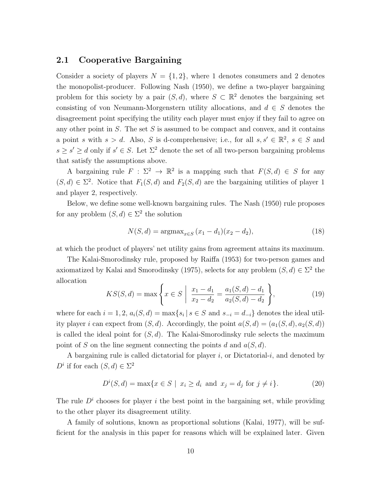#### 2.1 Cooperative Bargaining

Consider a society of players  $N = \{1, 2\}$ , where 1 denotes consumers and 2 denotes the monopolist-producer. Following Nash (1950), we define a two-player bargaining problem for this society by a pair  $(S, d)$ , where  $S \subset \mathbb{R}^2$  denotes the bargaining set consisting of von Neumann-Morgenstern utility allocations, and  $d \in S$  denotes the disagreement point specifying the utility each player must enjoy if they fail to agree on any other point in  $S$ . The set  $S$  is assumed to be compact and convex, and it contains a point s with  $s > d$ . Also, S is d-comprehensive; i.e., for all  $s, s' \in \mathbb{R}^2$ ,  $s \in S$  and  $s \geq s' \geq d$  only if  $s' \in S$ . Let  $\Sigma^2$  denote the set of all two-person bargaining problems that satisfy the assumptions above.

A bargaining rule  $F : \Sigma^2 \to \mathbb{R}^2$  is a mapping such that  $F(S, d) \in S$  for any  $(S, d) \in \Sigma^2$ . Notice that  $F_1(S, d)$  and  $F_2(S, d)$  are the bargaining utilities of player 1 and player 2, respectively.

Below, we define some well-known bargaining rules. The Nash (1950) rule proposes for any problem  $(S, d) \in \Sigma^2$  the solution

$$
N(S, d) = \operatorname{argmax}_{x \in S} (x_1 - d_1)(x_2 - d_2), \tag{18}
$$

at which the product of players' net utility gains from agreement attains its maximum.

The Kalai-Smorodinsky rule, proposed by Raiffa (1953) for two-person games and axiomatized by Kalai and Smorodinsky (1975), selects for any problem  $(S, d) \in \Sigma^2$  the allocation

$$
KS(S,d) = \max\left\{x \in S \mid \frac{x_1 - d_1}{x_2 - d_2} = \frac{a_1(S,d) - d_1}{a_2(S,d) - d_2}\right\},\tag{19}
$$

where for each  $i = 1, 2, a_i(S, d) = \max\{s_i | s \in S \text{ and } s_{-i} = d_{-i}\}\$  denotes the ideal utility player i can expect from  $(S, d)$ . Accordingly, the point  $a(S, d) = (a_1(S, d), a_2(S, d))$ is called the ideal point for  $(S, d)$ . The Kalai-Smorodinsky rule selects the maximum point of S on the line segment connecting the points d and  $a(S, d)$ .

A bargaining rule is called dictatorial for player  $i$ , or Dictatorial-i, and denoted by  $D^i$  if for each  $(S, d) \in \Sigma^2$ 

$$
D^{i}(S,d) = \max\{x \in S \mid x_i \ge d_i \text{ and } x_j = d_j \text{ for } j \neq i\}.
$$
 (20)

The rule  $D<sup>i</sup>$  chooses for player i the best point in the bargaining set, while providing to the other player its disagreement utility.

A family of solutions, known as proportional solutions (Kalai, 1977), will be sufficient for the analysis in this paper for reasons which will be explained later. Given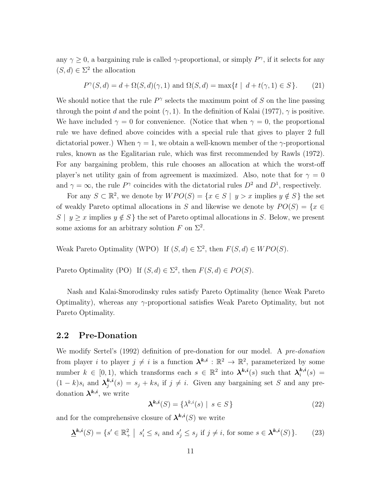any  $\gamma \geq 0$ , a bargaining rule is called  $\gamma$ -proportional, or simply  $P^{\gamma}$ , if it selects for any  $(S, d) \in \Sigma^2$  the allocation

$$
P^{\gamma}(S,d) = d + \Omega(S,d)(\gamma,1) \text{ and } \Omega(S,d) = \max\{t \mid d + t(\gamma,1) \in S\}. \tag{21}
$$

We should notice that the rule  $P^{\gamma}$  selects the maximum point of S on the line passing through the point d and the point  $(\gamma, 1)$ . In the definition of Kalai (1977),  $\gamma$  is positive. We have included  $\gamma = 0$  for convenience. (Notice that when  $\gamma = 0$ , the proportional rule we have defined above coincides with a special rule that gives to player 2 full dictatorial power.) When  $\gamma = 1$ , we obtain a well-known member of the  $\gamma$ -proportional rules, known as the Egalitarian rule, which was first recommended by Rawls (1972). For any bargaining problem, this rule chooses an allocation at which the worst-off player's net utility gain of from agreement is maximized. Also, note that for  $\gamma = 0$ and  $\gamma = \infty$ , the rule  $P^{\gamma}$  coincides with the dictatorial rules  $D^2$  and  $D^1$ , respectively.

For any  $S \subset \mathbb{R}^2$ , we denote by  $WPO(S) = \{x \in S \mid y > x \text{ implies } y \notin S\}$  the set of weakly Pareto optimal allocations in S and likewise we denote by  $PO(S) = \{x \in$ S |  $y \geq x$  implies  $y \notin S$  } the set of Pareto optimal allocations in S. Below, we present some axioms for an arbitrary solution F on  $\Sigma^2$ .

Weak Pareto Optimality (WPO) If  $(S, d) \in \Sigma^2$ , then  $F(S, d) \in WPO(S)$ .

Pareto Optimality (PO) If  $(S, d) \in \Sigma^2$ , then  $F(S, d) \in PO(S)$ .

Nash and Kalai-Smorodinsky rules satisfy Pareto Optimality (hence Weak Pareto Optimality), whereas any  $\gamma$ -proportional satisfies Weak Pareto Optimality, but not Pareto Optimality.

#### 2.2 Pre-Donation

We modify Sertel's (1992) definition of pre-donation for our model. A pre-donation from player *i* to player  $j \neq i$  is a function  $\lambda^{k,i} : \mathbb{R}^2 \to \mathbb{R}^2$ , parameterized by some number  $k \in [0,1)$ , which transforms each  $s \in \mathbb{R}^2$  into  $\lambda^{k,i}(s)$  such that  $\lambda_i^{k,i}$  $i^{\kappa,\imath}(s) =$  $(1-k)s_i$  and  $\lambda_j^{k,i}$  $s_j^{k,i}(s) = s_j + ks_i$  if  $j \neq i$ . Given any bargaining set S and any predonation  $\lambda^{k,i}$ , we write

$$
\mathbf{\lambda}^{k,i}(S) = \{ \lambda^{k,i}(s) \mid s \in S \}
$$
\n<sup>(22)</sup>

and for the comprehensive closure of  $\lambda^{k,i}(S)$  we write

$$
\underline{\lambda}^{k,i}(S) = \{ s' \in \mathbb{R}_+^2 \mid s'_i \le s_i \text{ and } s'_j \le s_j \text{ if } j \ne i, \text{ for some } s \in \lambda^{k,i}(S) \}. \tag{23}
$$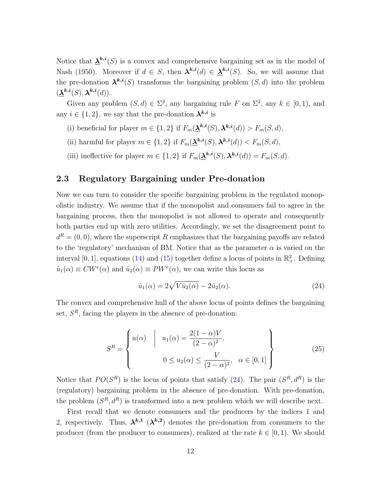Notice that  $\mathbf{\underline{\lambda}}^{k,i}(S)$  is a convex and comprehensive bargaining set as in the model of Nash (1950). Moreover if  $d \in S$ , then  $\lambda^{k,i}(d) \in \underline{\lambda}^{k,i}(S)$ . So, we will assume that the pre-donation  $\mathbf{\lambda}^{k,i}(S)$  transforms the bargaining problem  $(S, d)$  into the problem  $(\underline{\lambda}^{k,i}(S),\lambda^{k,i}(d)).$ 

Given any problem  $(S, d) \in \Sigma^2$ , any bargaining rule F on  $\Sigma^2$ , any  $k \in [0, 1)$ , and any  $i \in \{1, 2\}$ , we say that the pre-donation  $\lambda^{k,i}$  is

- (i) beneficial for player  $m \in \{1,2\}$  if  $F_m(\underline{\lambda}^{k,i}(S), \lambda^{k,i}(d)) > F_m(S, d)$ ,
- (ii) harmful for player  $m \in \{1,2\}$  if  $F_m(\underline{\lambda}^{k,i}(S), \lambda^{k,i}(d)) < F_m(S, d)$ ,
- (iii) ineffective for player  $m \in \{1,2\}$  if  $F_m(\underline{\lambda}^{k,i}(S), \lambda^{k,i}(d)) = F_m(S, d)$ .

#### 2.3 Regulatory Bargaining under Pre-donation

Now we can turn to consider the specific bargaining problem in the regulated monopolistic industry. We assume that if the monopolist and consumers fail to agree in the bargaining process, then the monopolist is not allowed to operate and consequently both parties end up with zero utilities. Accordingly, we set the disagreement point to  $d^R = (0,0)$ , where the superscript R emphasizes that the bargaining payoffs are related to the 'regulatory' mechanism of BM. Notice that as the parameter  $\alpha$  is varied on the interval [0, 1], equations (14) and (15) together define a locus of points in  $\mathbb{R}^2_+$ . Defining  $\hat{u}_1(\alpha) \equiv CW^e(\alpha)$  and  $\hat{u}_2(\alpha) \equiv PW^e(\alpha)$ , we can write this locus as

$$
\hat{u}_1(\alpha) = 2\sqrt{V\hat{u}_2(\alpha)} - 2\hat{u}_2(\alpha). \tag{24}
$$

The convex and comprehensive hull of the above locus of points defines the bargaining set,  $S<sup>R</sup>$ , facing the players in the absence of pre-donation:

$$
S^{R} = \begin{cases} u(\alpha) & \mid u_1(\alpha) = \frac{2(1-\alpha)V}{(2-\alpha)^2}, \\ 0 \le u_2(\alpha) \le \frac{V}{(2-\alpha)^2}, \quad \alpha \in [0,1] \end{cases} \tag{25}
$$

Notice that  $PO(S^R)$  is the locus of points that satisfy (24). The pair  $(S^R, d^R)$  is the (regulatory) bargaining problem in the absence of pre-donation. With pre-donation, the problem  $(S^R, d^R)$  is transformed into a new problem which we will describe next.

First recall that we denote consumers and the producers by the indices 1 and 2, respectively. Thus,  $\lambda^{k,1}$   $(\lambda^{k,2})$  denotes the pre-donation from consumers to the producer (from the producer to consumers), realized at the rate  $k \in [0, 1)$ . We should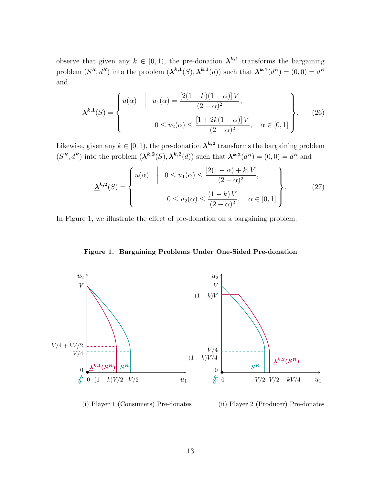observe that given any  $k \in [0, 1)$ , the pre-donation  $\lambda^{k,1}$  transforms the bargaining problem  $(S^R, d^R)$  into the problem  $(\underline{\lambda}^{k,1}(S), \lambda^{k,1}(d))$  such that  $\lambda^{k,1}(d^R) = (0,0) = d^R$ and

$$
\underline{\mathbf{\lambda}}^{k,1}(S) = \begin{cases} u(\alpha) & \mid u_1(\alpha) = \frac{[2(1-k)(1-\alpha)]V}{(2-\alpha)^2}, \\ 0 \le u_2(\alpha) \le \frac{[1+2k(1-\alpha)]V}{(2-\alpha)^2}, \quad \alpha \in [0,1] \end{cases} \tag{26}
$$

Likewise, given any  $k \in [0, 1)$ , the pre-donation  $\lambda^{k, 2}$  transforms the bargaining problem  $(S^R, d^R)$  into the problem  $(\underline{\lambda}^{k,2}(S), \lambda^{k,2}(d))$  such that  $\lambda^{k,2}(d^R) = (0,0) = d^R$  and

$$
\underline{\mathbf{\lambda}}^{k,2}(S) = \begin{cases} u(\alpha) & | & 0 \le u_1(\alpha) \le \frac{[2(1-\alpha)+k]V}{(2-\alpha)^2}, \\ 0 \le u_2(\alpha) \le \frac{(1-k)V}{(2-\alpha)^2}, \quad \alpha \in [0,1] \end{cases} \tag{27}
$$

In Figure 1, we illustrate the effect of pre-donation on a bargaining problem.

Figure 1. Bargaining Problems Under One-Sided Pre-donation



(i) Player 1 (Consumers) Pre-donates

(ii) Player 2 (Producer) Pre-donates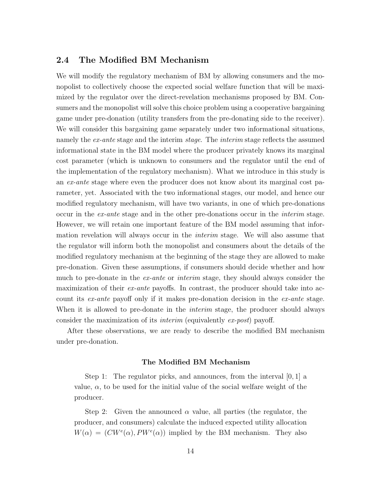#### 2.4 The Modified BM Mechanism

We will modify the regulatory mechanism of BM by allowing consumers and the monopolist to collectively choose the expected social welfare function that will be maximized by the regulator over the direct-revelation mechanisms proposed by BM. Consumers and the monopolist will solve this choice problem using a cooperative bargaining game under pre-donation (utility transfers from the pre-donating side to the receiver). We will consider this bargaining game separately under two informational situations, namely the *ex-ante* stage and the interim *stage*. The *interim* stage reflects the assumed informational state in the BM model where the producer privately knows its marginal cost parameter (which is unknown to consumers and the regulator until the end of the implementation of the regulatory mechanism). What we introduce in this study is an ex-ante stage where even the producer does not know about its marginal cost parameter, yet. Associated with the two informational stages, our model, and hence our modified regulatory mechanism, will have two variants, in one of which pre-donations occur in the ex-ante stage and in the other pre-donations occur in the interim stage. However, we will retain one important feature of the BM model assuming that information revelation will always occur in the *interim* stage. We will also assume that the regulator will inform both the monopolist and consumers about the details of the modified regulatory mechanism at the beginning of the stage they are allowed to make pre-donation. Given these assumptions, if consumers should decide whether and how much to pre-donate in the *ex-ante* or *interim* stage, they should always consider the maximization of their *ex-ante* payoffs. In contrast, the producer should take into account its ex-ante payoff only if it makes pre-donation decision in the ex-ante stage. When it is allowed to pre-donate in the *interim* stage, the producer should always consider the maximization of its interim (equivalently ex-post) payoff.

After these observations, we are ready to describe the modified BM mechanism under pre-donation.

#### The Modified BM Mechanism

Step 1: The regulator picks, and announces, from the interval  $[0, 1]$  a value,  $\alpha$ , to be used for the initial value of the social welfare weight of the producer.

Step 2: Given the announced  $\alpha$  value, all parties (the regulator, the producer, and consumers) calculate the induced expected utility allocation  $W(\alpha) = (CW^e(\alpha), PW^e(\alpha))$  implied by the BM mechanism. They also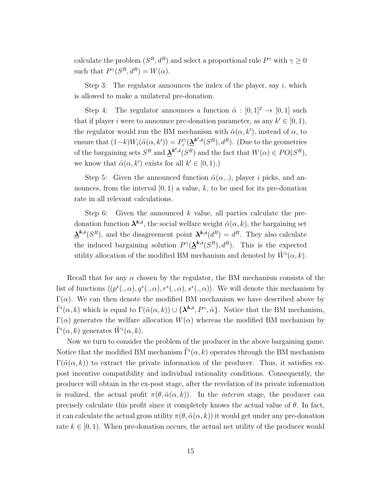calculate the problem  $(S^R, d^R)$  and select a proportional rule  $P^{\gamma}$  with  $\gamma \ge 0$ such that  $P^{\gamma}(S^R, d^R) = W(\alpha)$ .

Step 3: The regulator announces the index of the player, say  $i$ , which is allowed to make a unilateral pre-donation.

Step 4: The regulator announces a function  $\tilde{\alpha} : [0,1]^2 \rightarrow [0,1]$  such that if player *i* were to announce pre-donation parameter, as any  $k' \in [0, 1)$ , the regulator would run the BM mechanism with  $\tilde{\alpha}(\alpha, k')$ , instead of  $\alpha$ , to ensure that  $(1-k)W_i(\tilde{\alpha}(\alpha, k')) = P_i^{\gamma}$  $\mathcal{O}_i^{\gamma}(\underline{\lambda}^{k^{\prime},i}(S^R), d^R)$ . (Due to the geometries of the bargaining sets  $S^R$  and  $\underline{\lambda}^{k',i}(S^R)$  and the fact that  $W(\alpha) \in PO(S^R)$ , we know that  $\tilde{\alpha}(\alpha, k')$  exists for all  $k' \in [0, 1)$ .)

Step 5: Given the announced function  $\tilde{\alpha}(\alpha,.)$ , player i picks, and announces, from the interval  $[0, 1)$  a value, k, to be used for its pre-donation rate in all relevant calculations.

Step 6: Given the announced  $k$  value, all parties calculate the predonation function  $\lambda^{k,i}$ , the social welfare weight  $\tilde{\alpha}(\alpha, k)$ , the bargaining set  $\mathbf{\underline{\lambda}}^{k,i}(S^R)$ , and the disagreement point  $\mathbf{\lambda}^{k,i}(d^R) = d^R$ . They also calculate the induced bargaining solution  $P^{\gamma}(\mathbf{\underline{\lambda}}^{k,i}(S^R), d^R)$ . This is the expected utility allocation of the modified BM mechanism and denoted by  $\tilde{W}^{i}(\alpha, k)$ .

Recall that for any  $\alpha$  chosen by the regulator, the BM mechanism consists of the list of functions  $\langle (p^*(.,\alpha), q^*(.,\alpha), r^*(.,\alpha), s^*(.,\alpha) \rangle$ . We will denote this mechanism by  $\Gamma(\alpha)$ . We can then denote the modified BM mechanism we have described above by  $\tilde{\Gamma}^i(\alpha, k)$  which is equal to  $\Gamma(\tilde{\alpha}(\alpha, k)) \cup \{\lambda^{k,i}, P^{\gamma}, \tilde{\alpha}\}\$ . Notice that the BM mechanism,  $\Gamma(\alpha)$  generates the welfare allocation  $W(\alpha)$  whereas the modified BM mechanism by  $\tilde{\Gamma}^i(\alpha, k)$  generates  $\tilde{W}^i(\alpha, k)$ .

Now we turn to consider the problem of the producer in the above bargaining game. Notice that the modified BM mechanism  $\tilde{\Gamma}^i(\alpha, k)$  operates through the BM mechanism  $\Gamma(\tilde{\alpha}(\alpha, k))$  to extract the private information of the producer. Thus, it satisfies expost incentive compatibility and individual rationality conditions. Consequently, the producer will obtain in the ex-post stage, after the revelation of its private information is realized, the actual profit  $\pi(\theta, \tilde{\alpha}(\alpha, k))$ . In the *interim* stage, the producer can precisely calculate this profit since it completely knows the actual value of  $\theta$ . In fact, it can calculate the actual gross utility  $\pi(\theta, \tilde{\alpha}(\alpha, k))$  it would get under any pre-donation rate  $k \in [0, 1)$ . When pre-donation occurs, the actual net utility of the producer would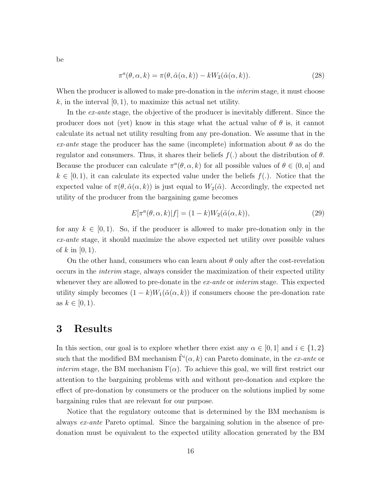be

$$
\pi^{a}(\theta,\alpha,k) = \pi(\theta,\tilde{\alpha}(\alpha,k)) - kW_2(\tilde{\alpha}(\alpha,k)).
$$
\n(28)

When the producer is allowed to make pre-donation in the *interim* stage, it must choose k, in the interval  $[0, 1)$ , to maximize this actual net utility.

In the ex-ante stage, the objective of the producer is inevitably different. Since the producer does not (yet) know in this stage what the actual value of  $\theta$  is, it cannot calculate its actual net utility resulting from any pre-donation. We assume that in the ex-ante stage the producer has the same (incomplete) information about  $\theta$  as do the regulator and consumers. Thus, it shares their beliefs  $f(.)$  about the distribution of  $\theta$ . Because the producer can calculate  $\pi^a(\theta, \alpha, k)$  for all possible values of  $\theta \in (0, a]$  and  $k \in [0, 1)$ , it can calculate its expected value under the beliefs  $f(.)$ . Notice that the expected value of  $\pi(\theta, \tilde{\alpha}(\alpha, k))$  is just equal to  $W_2(\tilde{\alpha})$ . Accordingly, the expected net utility of the producer from the bargaining game becomes

$$
E[\pi^a(\theta, \alpha, k)|f] = (1 - k)W_2(\tilde{\alpha}(\alpha, k)),
$$
\n(29)

for any  $k \in [0, 1)$ . So, if the producer is allowed to make pre-donation only in the ex-ante stage, it should maximize the above expected net utility over possible values of  $k$  in [0, 1].

On the other hand, consumers who can learn about  $\theta$  only after the cost-revelation occurs in the interim stage, always consider the maximization of their expected utility whenever they are allowed to pre-donate in the ex-ante or interim stage. This expected utility simply becomes  $(1 - k)W_1(\tilde{\alpha}(\alpha, k))$  if consumers choose the pre-donation rate as  $k \in [0, 1)$ .

### 3 Results

In this section, our goal is to explore whether there exist any  $\alpha \in [0,1]$  and  $i \in \{1,2\}$ such that the modified BM mechanism  $\tilde{\Gamma}^i(\alpha, k)$  can Pareto dominate, in the *ex-ante* or *interim* stage, the BM mechanism  $\Gamma(\alpha)$ . To achieve this goal, we will first restrict our attention to the bargaining problems with and without pre-donation and explore the effect of pre-donation by consumers or the producer on the solutions implied by some bargaining rules that are relevant for our purpose.

Notice that the regulatory outcome that is determined by the BM mechanism is always ex-ante Pareto optimal. Since the bargaining solution in the absence of predonation must be equivalent to the expected utility allocation generated by the BM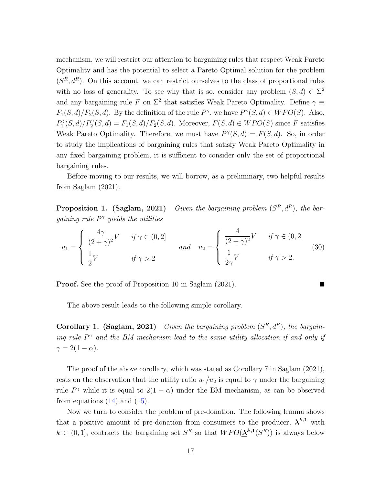mechanism, we will restrict our attention to bargaining rules that respect Weak Pareto Optimality and has the potential to select a Pareto Optimal solution for the problem  $(S<sup>R</sup>, d<sup>R</sup>)$ . On this account, we can restrict ourselves to the class of proportional rules with no loss of generality. To see why that is so, consider any problem  $(S, d) \in \Sigma^2$ and any bargaining rule F on  $\Sigma^2$  that satisfies Weak Pareto Optimality. Define  $\gamma \equiv$  $F_1(S, d)/F_2(S, d)$ . By the definition of the rule  $P^{\gamma}$ , we have  $P^{\gamma}(S, d) \in WPO(S)$ . Also,  $P_1^{\gamma}$  $T_1^{\gamma}(S,d)/P_2^{\gamma}(S,d) = F_1(S,d)/F_2(S,d)$ . Moreover,  $F(S,d) \in WPO(S)$  since F satisfies Weak Pareto Optimality. Therefore, we must have  $P^{\gamma}(S, d) = F(S, d)$ . So, in order to study the implications of bargaining rules that satisfy Weak Pareto Optimality in any fixed bargaining problem, it is sufficient to consider only the set of proportional bargaining rules.

Before moving to our results, we will borrow, as a preliminary, two helpful results from Saglam (2021).

Proposition 1. (Saglam, 2021) Given the bargaining problem  $(S^R, d^R)$ , the bargaining rule  $P^{\gamma}$  yields the utilities

$$
u_1 = \begin{cases} \frac{4\gamma}{(2+\gamma)^2} V & \text{if } \gamma \in (0,2] \\ \frac{1}{2} V & \text{if } \gamma > 2 \end{cases} \quad \text{and} \quad u_2 = \begin{cases} \frac{4}{(2+\gamma)^2} V & \text{if } \gamma \in (0,2] \\ \frac{1}{2\gamma} V & \text{if } \gamma > 2. \end{cases} \tag{30}
$$

Proof. See the proof of Proposition 10 in Saglam (2021).

The above result leads to the following simple corollary.

**Corollary 1. (Saglam, 2021)** Given the bargaining problem  $(S^R, d^R)$ , the bargaining rule  $P^{\gamma}$  and the BM mechanism lead to the same utility allocation if and only if  $\gamma = 2(1-\alpha).$ 

The proof of the above corollary, which was stated as Corollary 7 in Saglam (2021), rests on the observation that the utility ratio  $u_1/u_2$  is equal to  $\gamma$  under the bargaining rule  $P^{\gamma}$  while it is equal to  $2(1 - \alpha)$  under the BM mechanism, as can be observed from equations  $(14)$  and  $(15)$ .

Now we turn to consider the problem of pre-donation. The following lemma shows that a positive amount of pre-donation from consumers to the producer,  $\lambda^{k,1}$  with  $k \in (0,1]$ , contracts the bargaining set  $S<sup>R</sup>$  so that  $WPO(\underline{\lambda}^{k,1}(S<sup>R</sup>))$  is always below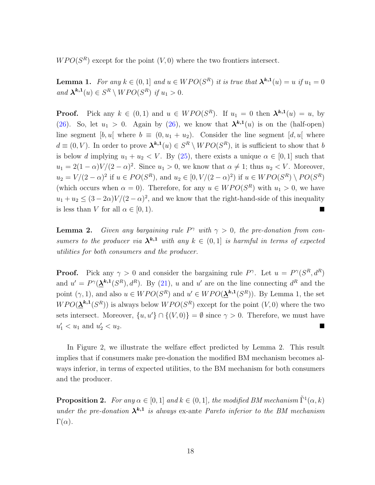$WPO(S<sup>R</sup>)$  except for the point  $(V, 0)$  where the two frontiers intersect.

**Lemma 1.** For any  $k \in (0,1]$  and  $u \in WPO(S^R)$  it is true that  $\lambda^{k,1}(u) = u$  if  $u_1 = 0$ and  $\mathbf{\lambda}^{k,1}(u) \in S^R \setminus WPO(S^R)$  if  $u_1 > 0$ .

**Proof.** Pick any  $k \in (0,1)$  and  $u \in WPO(S^R)$ . If  $u_1 = 0$  then  $\lambda^{k,1}(u) = u$ , by (26). So, let  $u_1 > 0$ . Again by (26), we know that  $\lambda^{k,1}(u)$  is on the (half-open) line segment [b, u] where  $b \equiv (0, u_1 + u_2)$ . Consider the line segment [d, u] where  $d \equiv (0, V)$ . In order to prove  $\mathbf{\lambda}^{k,1}(u) \in S^R \setminus WPO(S^R)$ , it is sufficient to show that b is below d implying  $u_1 + u_2 < V$ . By (25), there exists a unique  $\alpha \in [0, 1]$  such that  $u_1 = 2(1 - \alpha)V/(2 - \alpha)^2$ . Since  $u_1 > 0$ , we know that  $\alpha \neq 1$ ; thus  $u_2 < V$ . Moreover,  $u_2 = V/(2 - \alpha)^2$  if  $u \in PO(S^R)$ , and  $u_2 \in [0, V/(2 - \alpha)^2)$  if  $u \in WPO(S^R) \setminus PO(S^R)$ (which occurs when  $\alpha = 0$ ). Therefore, for any  $u \in WPO(S^R)$  with  $u_1 > 0$ , we have  $u_1 + u_2 \leq (3 - 2\alpha)V/(2 - \alpha)^2$ , and we know that the right-hand-side of this inequality is less than V for all  $\alpha \in [0, 1)$ .

**Lemma 2.** Given any bargaining rule  $P^{\gamma}$  with  $\gamma > 0$ , the pre-donation from consumers to the producer via  $\lambda^{k,1}$  with any  $k \in (0,1]$  is harmful in terms of expected utilities for both consumers and the producer.

**Proof.** Pick any  $\gamma > 0$  and consider the bargaining rule  $P^{\gamma}$ . Let  $u = P^{\gamma}(S^R, d^R)$ and  $u' = P^{\gamma}(\underline{\lambda}^{k,1}(S^R), d^R)$ . By (21), u and u' are on the line connecting  $d^R$  and the point  $(\gamma, 1)$ , and also  $u \in WPO(S^R)$  and  $u' \in WPO(\underline{\mathbf{\lambda}}^{k,1}(S^R))$ . By Lemma 1, the set  $WPO(\mathbf{\underline{\lambda}}^{k,1}(S^R))$  is always below  $WPO(S^R)$  except for the point  $(V,0)$  where the two sets intersect. Moreover,  $\{u, u'\} \cap \{(V, 0)\} = \emptyset$  since  $\gamma > 0$ . Therefore, we must have  $u'_1 < u_1$  and  $u'_2$  $\frac{2}{2} < u_2$ .

In Figure 2, we illustrate the welfare effect predicted by Lemma 2. This result implies that if consumers make pre-donation the modified BM mechanism becomes always inferior, in terms of expected utilities, to the BM mechanism for both consumers and the producer.

**Proposition 2.** For any  $\alpha \in [0, 1]$  and  $k \in (0, 1]$ , the modified BM mechanism  $\tilde{\Gamma}^1(\alpha, k)$ under the pre-donation  $\lambda^{k,1}$  is always ex-ante Pareto inferior to the BM mechanism  $\Gamma(\alpha)$ .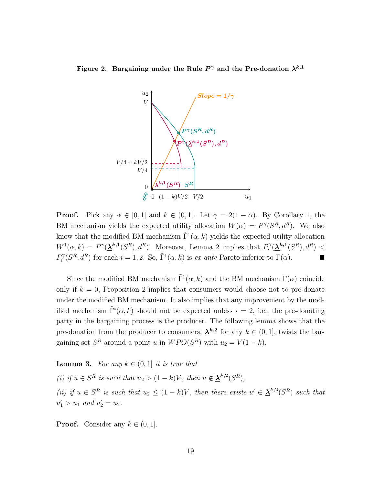Figure 2. Bargaining under the Rule  $P^\gamma$  and the Pre-donation  $\lambda^{k,1}$ 



**Proof.** Pick any  $\alpha \in [0, 1]$  and  $k \in (0, 1]$ . Let  $\gamma = 2(1 - \alpha)$ . By Corollary 1, the BM mechanism yields the expected utility allocation  $W(\alpha) = P^{\gamma}(S^R, d^R)$ . We also know that the modified BM mechanism  $\tilde{\Gamma}^1(\alpha, k)$  yields the expected utility allocation  $W^1(\alpha, k) = P^{\gamma}(\mathbf{\underline{\lambda}}^{k,1}(S^R), d^R)$ . Moreover, Lemma 2 implies that  $P_i^{\gamma}$  $\delta_i^{\gamma}(\underline{\bm{\lambda}}^{k,1}(S^R), d^R) <$  $P_i^{\gamma}$  $i^{\gamma}(S^R, d^R)$  for each  $i = 1, 2$ . So,  $\tilde{\Gamma}^1(\alpha, k)$  is *ex-ante* Pareto inferior to  $\Gamma(\alpha)$ .

Since the modified BM mechanism  $\tilde{\Gamma}^1(\alpha, k)$  and the BM mechanism  $\Gamma(\alpha)$  coincide only if  $k = 0$ , Proposition 2 implies that consumers would choose not to pre-donate under the modified BM mechanism. It also implies that any improvement by the modified mechanism  $\tilde{\Gamma}^i(\alpha, k)$  should not be expected unless  $i = 2$ , i.e., the pre-donating party in the bargaining process is the producer. The following lemma shows that the pre-donation from the producer to consumers,  $\lambda^{k,2}$  for any  $k \in (0,1]$ , twists the bargaining set  $S^R$  around a point u in  $WPO(S^R)$  with  $u_2 = V(1 - k)$ .

**Lemma 3.** For any  $k \in (0,1]$  it is true that

(i) if  $u \in S^R$  is such that  $u_2 > (1 - k)V$ , then  $u \notin \underline{\lambda}^{k,2}(S^R)$ , (ii) if  $u \in S^R$  is such that  $u_2 \leq (1-k)V$ , then there exists  $u' \in \underline{\lambda}^{k,2}(S^R)$  such that  $u'_1 > u_1$  and  $u'_2 = u_2$ .

**Proof.** Consider any  $k \in (0, 1]$ .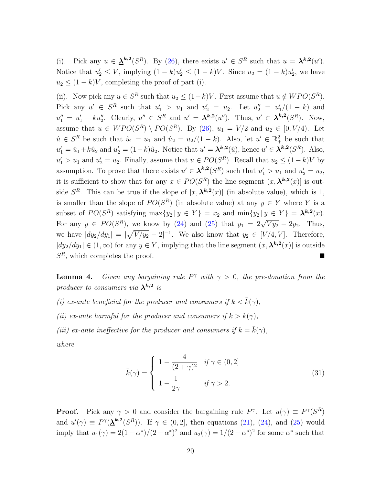(i). Pick any  $u \in \underline{\lambda}^{k,2}(S^R)$ . By (26), there exists  $u' \in S^R$  such that  $u = \lambda^{k,2}(u')$ . Notice that  $u'_2 \le V$ , implying  $(1 - k)u'_2 \le (1 - k)V$ . Since  $u_2 = (1 - k)u'_2$  $'_{2}$ , we have  $u_2 \leq (1-k)V$ , completing the proof of part (i).

(ii). Now pick any  $u \in S^R$  such that  $u_2 \leq (1-k)V$ . First assume that  $u \notin WPO(S^R)$ . Pick any  $u' \in S^R$  such that  $u'_1 > u_1$  and  $u'_2 = u_2$ . Let  $u''_2 = u'_1$  $_{1}^{\prime}/(1-k)$  and  $u''_1 = u'_1 - ku''_2$ . Clearly,  $u'' \in S^R$  and  $u' = \lambda^{k,2}(u'')$ . Thus,  $u' \in \underline{\lambda}^{k,2}(S^R)$ . Now, assume that  $u \in WPO(S^R) \setminus PO(S^R)$ . By (26),  $u_1 = V/2$  and  $u_2 \in [0, V/4)$ . Let  $\hat{u} \in S^R$  be such that  $\hat{u}_1 = u_1$  and  $\hat{u}_2 = u_2/(1 - k)$ . Also, let  $u' \in \mathbb{R}^2_+$  be such that  $u'_1 = \hat{u}_1 + k\hat{u}_2$  and  $u'_2 = (1-k)\hat{u}_2$ . Notice that  $u' = \lambda^{k,2}(\hat{u})$ , hence  $u' \in \underline{\lambda}^{k,2}(S^R)$ . Also,  $u'_1 > u_1$  and  $u'_2 = u_2$ . Finally, assume that  $u \in PO(S^R)$ . Recall that  $u_2 \leq (1 - k)V$  by assumption. To prove that there exists  $u' \in \underline{\lambda}^{k,2}(S^R)$  such that  $u'_1 > u_1$  and  $u'_2 = u_2$ , it is sufficient to show that for any  $x \in PO(S^R)$  the line segment  $(x, \lambda^{k,2}(x))$  is outside  $S^R$ . This can be true if the slope of  $[x, \lambda^{k,2}(x)]$  (in absolute value), which is 1, is smaller than the slope of  $PO(S^R)$  (in absolute value) at any  $y \in Y$  where Y is a subset of  $PO(S^R)$  satisfying  $\max\{y_2 | y \in Y\} = x_2$  and  $\min\{y_2 | y \in Y\} = \lambda^{k,2}(x)$ . For any  $y \in PO(S^R)$ , we know by (24) and (25) that  $y_1 = 2\sqrt{V y_2} - 2y_2$ . Thus, we have  $|dy_2/dy_1| = |\sqrt{V/y_2} - 2|^{-1}$ . We also know that  $y_2 \in [V/4, V]$ . Therefore,  $|dy_2/dy_1| \in (1,\infty)$  for any  $y \in Y$ , implying that the line segment  $(x, \lambda^{k,2}(x))$  is outside  $S<sup>R</sup>$ , which completes the proof.

**Lemma 4.** Given any bargaining rule  $P^{\gamma}$  with  $\gamma > 0$ , the pre-donation from the producer to consumers via  $\lambda^{k,2}$  is

(i) ex-ante beneficial for the producer and consumers if  $k < \bar{k}(\gamma)$ ,

(ii) ex-ante harmful for the producer and consumers if  $k > \bar{k}(\gamma)$ ,

(iii) ex-ante ineffective for the producer and consumers if  $k = \bar{k}(\gamma)$ ,

where

$$
\bar{k}(\gamma) = \begin{cases}\n1 - \frac{4}{(2+\gamma)^2} & \text{if } \gamma \in (0,2] \\
1 - \frac{1}{2\gamma} & \text{if } \gamma > 2.\n\end{cases}
$$
\n(31)

**Proof.** Pick any  $\gamma > 0$  and consider the bargaining rule  $P^{\gamma}$ . Let  $u(\gamma) \equiv P^{\gamma}(S^R)$ and  $u'(\gamma) \equiv P^{\gamma}(\underline{\lambda}^{k,2}(S^R))$ . If  $\gamma \in (0,2]$ , then equations (21), (24), and (25) would imply that  $u_1(\gamma) = 2(1 - \alpha^*)/(2 - \alpha^*)^2$  and  $u_2(\gamma) = 1/(2 - \alpha^*)^2$  for some  $\alpha^*$  such that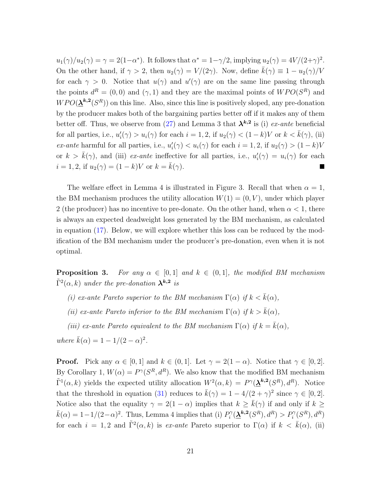$u_1(\gamma)/u_2(\gamma) = \gamma = 2(1-\alpha^*)$ . It follows that  $\alpha^* = 1-\gamma/2$ , implying  $u_2(\gamma) = 4V/(2+\gamma)^2$ . On the other hand, if  $\gamma > 2$ , then  $u_2(\gamma) = V/(2\gamma)$ . Now, define  $\bar{k}(\gamma) \equiv 1 - u_2(\gamma)/V$ for each  $\gamma > 0$ . Notice that  $u(\gamma)$  and  $u'(\gamma)$  are on the same line passing through the points  $d^R = (0,0)$  and  $(\gamma,1)$  and they are the maximal points of  $WPO(S^R)$  and  $WPO(\mathbf{\underline{\lambda}}^{k,2}(S^R))$  on this line. Also, since this line is positively sloped, any pre-donation by the producer makes both of the bargaining parties better off if it makes any of them better off. Thus, we observe from (27) and Lemma 3 that  $\lambda^{k,2}$  is (i) ex-ante beneficial for all parties, i.e.,  $u_i'$  $i'_{i}(\gamma) > u_{i}(\gamma)$  for each  $i = 1, 2$ , if  $u_{2}(\gamma) < (1 - k)V$  or  $k < \bar{k}(\gamma)$ , (ii) ex-ante harmful for all parties, i.e.,  $u'_i$  $i'_{i}(\gamma) < u_{i}(\gamma)$  for each  $i = 1, 2$ , if  $u_{2}(\gamma) > (1 - k)V$ or  $k > \bar{k}(\gamma)$ , and (iii) ex-ante ineffective for all parties, i.e.,  $u'_i$  $u_i'(\gamma) = u_i(\gamma)$  for each  $i = 1, 2$ , if  $u_2(\gamma) = (1 - k)V$  or  $k = \bar{k}(\gamma)$ .

The welfare effect in Lemma 4 is illustrated in Figure 3. Recall that when  $\alpha = 1$ , the BM mechanism produces the utility allocation  $W(1) = (0, V)$ , under which player 2 (the producer) has no incentive to pre-donate. On the other hand, when  $\alpha < 1$ , there is always an expected deadweight loss generated by the BM mechanism, as calculated in equation (17). Below, we will explore whether this loss can be reduced by the modification of the BM mechanism under the producer's pre-donation, even when it is not optimal.

**Proposition 3.** For any  $\alpha \in [0,1]$  and  $k \in (0,1]$ , the modified BM mechanism  $\tilde{\Gamma}^2(\alpha,k)$  under the pre-donation  $\lambda^{k,2}$  is

- (i) ex-ante Pareto superior to the BM mechanism  $\Gamma(\alpha)$  if  $k < \bar{k}(\alpha)$ ,
- (ii) ex-ante Pareto inferior to the BM mechanism  $\Gamma(\alpha)$  if  $k > \bar{k}(\alpha)$ ,
- (iii) ex-ante Pareto equivalent to the BM mechanism  $\Gamma(\alpha)$  if  $k = \overline{k}(\alpha)$ ,

where  $\bar{k}(\alpha) = 1 - 1/(2 - \alpha)^2$ .

**Proof.** Pick any  $\alpha \in [0, 1]$  and  $k \in (0, 1]$ . Let  $\gamma = 2(1 - \alpha)$ . Notice that  $\gamma \in [0, 2]$ . By Corollary 1,  $W(\alpha) = P^{\gamma}(S^R, d^R)$ . We also know that the modified BM mechanism  $\tilde{\Gamma}^1(\alpha, k)$  yields the expected utility allocation  $W^2(\alpha, k) = P^{\gamma}(\mathbf{\underline{\lambda}}^{k,2}(S^R), d^R)$ . Notice that the threshold in equation (31) reduces to  $\bar{k}(\gamma) = 1 - 4/(2 + \gamma)^2$  since  $\gamma \in [0, 2]$ . Notice also that the equality  $\gamma = 2(1 - \alpha)$  implies that  $k \geq \bar{k}(\gamma)$  if and only if  $k \geq$  $\bar{k}(\alpha) = 1 - 1/(2 - \alpha)^2$ . Thus, Lemma 4 implies that (i)  $P_i^{\gamma}$  $P_i^{\gamma}(\underline{\lambda}^{k,2}(S^R),d^R) > P_i^{\gamma}(S^R),d^R)$ for each  $i = 1, 2$  and  $\tilde{\Gamma}^2(\alpha, k)$  is ex-ante Pareto superior to  $\Gamma(\alpha)$  if  $k < \bar{k}(\alpha)$ , (ii)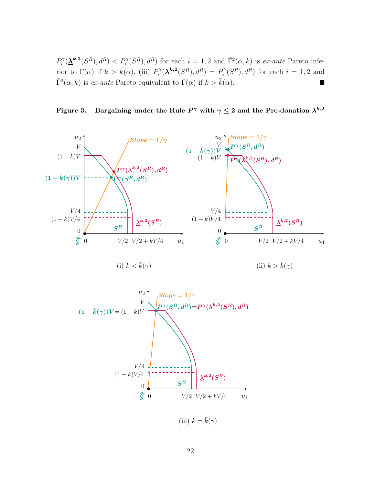$P_i^{\gamma}$  $P_i^{\gamma}(\mathbf{\underline{\lambda}}^{k,2}(S^R), d^R) < P_i^{\gamma}(S^R), d^R$  for each  $i = 1, 2$  and  $\tilde{\Gamma}^2(\alpha, k)$  is ex-ante Pareto inferior to  $\Gamma(\alpha)$  if  $k > \bar{k}(\alpha)$ , (iii)  $P_i^{\gamma}$  $P_i^{\gamma}(\underline{\lambda}^{k,2}(S^R), d^R) = P_i^{\gamma}$  $i^{\gamma}(S^R), d^R$  for each  $i = 1, 2$  and  $\tilde{\Gamma}^2(\alpha, k)$  is *ex-ante* Pareto equivalent to  $\Gamma(\alpha)$  if  $k > \bar{k}(\alpha)$ .

Figure 3. Bargaining under the Rule  $P^\gamma$  with  $\gamma \leq 2$  and the Pre-donation  $\lambda^{k,2}$ 





(iii)  $k = \bar{k}(\gamma)$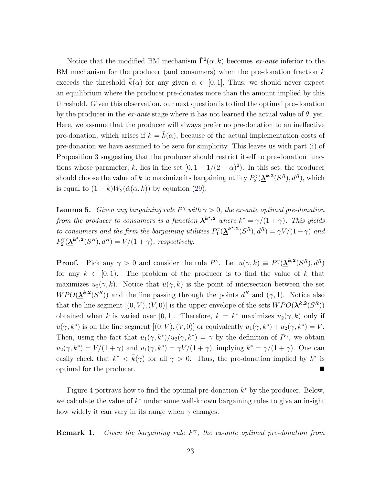Notice that the modified BM mechanism  $\tilde{\Gamma}^2(\alpha, k)$  becomes ex-ante inferior to the BM mechanism for the producer (and consumers) when the pre-donation fraction k exceeds the threshold  $k(\alpha)$  for any given  $\alpha \in [0,1]$ , Thus, we should never expect an equilibrium where the producer pre-donates more than the amount implied by this threshold. Given this observation, our next question is to find the optimal pre-donation by the producer in the  $ex$ -ante stage where it has not learned the actual value of  $\theta$ , yet. Here, we assume that the producer will always prefer no pre-donation to an ineffective pre-donation, which arises if  $k = \bar{k}(\alpha)$ , because of the actual implementation costs of pre-donation we have assumed to be zero for simplicity. This leaves us with part (i) of Proposition 3 suggesting that the producer should restrict itself to pre-donation functions whose parameter, k, lies in the set  $[0, 1 - 1/(2 - \alpha)^2)$ . In this set, the producer should choose the value of k to maximize its bargaining utility  $P_2^{\gamma}$  $\Omega_2^{\gamma}(\underline{\lambda}^{k,2}(S^R), d^R)$ , which is equal to  $(1 - k)W_2(\tilde{\alpha}(\alpha, k))$  by equation (29).

**Lemma 5.** Given any bargaining rule  $P^{\gamma}$  with  $\gamma > 0$ , the ex-ante optimal pre-donation from the producer to consumers is a function  $\mathbf{\lambda}^{k^*}$ , where  $k^* = \gamma/(1+\gamma)$ . This yields to consumers and the firm the bargaining utilities  $P_1^{\gamma}$  $\mathcal{O}_1^{\gamma}(\underline{\lambda}^{k^*,2}(S^R), d^R) = \gamma V/(1+\gamma)$  and  $P_2^{\gamma}$  $\Omega_2^{\gamma}(\underline{\lambda}^{k^*,2}(S^R), d^R) = V/(1+\gamma)$ , respectively.

**Proof.** Pick any  $\gamma > 0$  and consider the rule  $P^{\gamma}$ . Let  $u(\gamma, k) \equiv P^{\gamma}(\underline{\lambda}^{k,2}(S^R), d^R)$ for any  $k \in [0, 1)$ . The problem of the producer is to find the value of k that maximizes  $u_2(\gamma, k)$ . Notice that  $u(\gamma, k)$  is the point of intersection between the set  $WPO(\underline{\lambda}^{k,2}(S^R))$  and the line passing through the points  $d^R$  and  $(\gamma,1)$ . Notice also that the line segment  $[(0, V), (V, 0)]$  is the upper envelope of the sets  $WPO(\underline{\lambda}^{k,2}(S^R))$ obtained when k is varied over [0, 1]. Therefore,  $k = k^*$  maximizes  $u_2(\gamma, k)$  only if  $u(\gamma, k^*)$  is on the line segment  $[(0, V), (V, 0)]$  or equivalently  $u_1(\gamma, k^*) + u_2(\gamma, k^*) = V$ . Then, using the fact that  $u_1(\gamma, k^*)/u_2(\gamma, k^*) = \gamma$  by the definition of  $P^{\gamma}$ , we obtain  $u_2(\gamma, k^*) = V/(1+\gamma)$  and  $u_1(\gamma, k^*) = \gamma V/(1+\gamma)$ , implying  $k^* = \gamma/(1+\gamma)$ . One can easily check that  $k^* < \bar{k}(\gamma)$  for all  $\gamma > 0$ . Thus, the pre-donation implied by  $k^*$  is optimal for the producer.

Figure 4 portrays how to find the optimal pre-donation  $k^*$  by the producer. Below, we calculate the value of  $k^*$  under some well-known bargaining rules to give an insight how widely it can vary in its range when  $\gamma$  changes.

**Remark 1.** Given the bargaining rule  $P^{\gamma}$ , the ex-ante optimal pre-donation from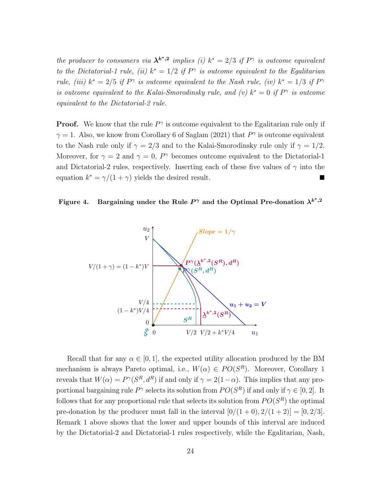the producer to consumers via  $\lambda^{k^*2}$  implies (i)  $k^* = 2/3$  if  $P^{\gamma}$  is outcome equivalent to the Dictatorial-1 rule, (ii)  $k^* = 1/2$  if  $P^{\gamma}$  is outcome equivalent to the Egalitarian rule, (iii)  $k^* = 2/5$  if P<sup> $\gamma$ </sup> is outcome equivalent to the Nash rule, (iv)  $k^* = 1/3$  if P<sup> $\gamma$ </sup> is outcome equivalent to the Kalai-Smorodinsky rule, and (v)  $k^* = 0$  if  $P^{\gamma}$  is outcome equivalent to the Dictatorial-2 rule.

**Proof.** We know that the rule  $P^{\gamma}$  is outcome equivalent to the Egalitarian rule only if  $\gamma = 1$ . Also, we know from Corollary 6 of Saglam (2021) that  $P^{\gamma}$  is outcome equivalent to the Nash rule only if  $\gamma = 2/3$  and to the Kalai-Smorodinsky rule only if  $\gamma = 1/2$ . Moreover, for  $\gamma = 2$  and  $\gamma = 0$ ,  $P^{\gamma}$  becomes outcome equivalent to the Dictatorial-1 and Dictatorial-2 rules, respectively. Inserting each of these five values of  $\gamma$  into the equation  $k^* = \gamma/(1+\gamma)$  yields the desired result.

Figure 4. Bargaining under the Rule  $P^{\gamma}$  and the Optimal Pre-donation  $\lambda^{k^{*},2}$ 



Recall that for any  $\alpha \in [0, 1]$ , the expected utility allocation produced by the BM mechanism is always Pareto optimal, i.e.,  $W(\alpha) \in PO(S^R)$ . Moreover, Corollary 1 reveals that  $W(\alpha) = P^{\gamma}(S^R, d^R)$  if and only if  $\gamma = 2(1-\alpha)$ . This implies that any proportional bargaining rule  $P^{\gamma}$  selects its solution from  $PO(S^R)$  if and only if  $\gamma \in [0, 2]$ . It follows that for any proportional rule that selects its solution from  $PO(S^R)$  the optimal pre-donation by the producer must fall in the interval  $[0/(1+0), 2/(1+2)] = [0, 2/3]$ . Remark 1 above shows that the lower and upper bounds of this interval are induced by the Dictatorial-2 and Dictatorial-1 rules respectively, while the Egalitarian, Nash,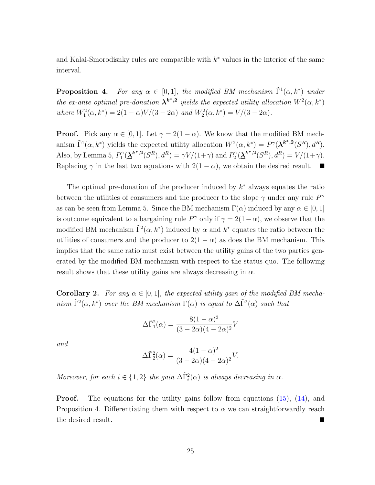and Kalai-Smorodisnky rules are compatible with  $k^*$  values in the interior of the same interval.

**Proposition 4.** For any  $\alpha \in [0,1]$ , the modified BM mechanism  $\tilde{\Gamma}^1(\alpha, k^*)$  under the ex-ante optimal pre-donation  $\lambda^{k^*2}$  yields the expected utility allocation  $W^2(\alpha, k^*)$ where  $W_1^2(\alpha, k^*) = 2(1 - \alpha)V/(3 - 2\alpha)$  and  $W_2^2(\alpha, k^*) = V/(3 - 2\alpha)$ .

**Proof.** Pick any  $\alpha \in [0, 1]$ . Let  $\gamma = 2(1 - \alpha)$ . We know that the modified BM mechanism  $\tilde{\Gamma}^1(\alpha, k^*)$  yields the expected utility allocation  $W^2(\alpha, k^*) = P^{\gamma}(\underline{\lambda}^{k^*,2}(S^R), d^R)$ . Also, by Lemma 5,  $P_1^{\gamma}$  $P_1^{\gamma}(\underline{\mathbf{\lambda}}^{k^*,2}(S^R), d^R) = \gamma V/(1+\gamma)$  and  $P_2^{\gamma}$  $2^{\gamma}(\mathbf{\underline{\lambda}}^{k^*,2}(S^R),d^R) = V/(1+\gamma).$ Replacing  $\gamma$  in the last two equations with  $2(1 - \alpha)$ , we obtain the desired result.

The optimal pre-donation of the producer induced by  $k^*$  always equates the ratio between the utilities of consumers and the producer to the slope  $\gamma$  under any rule  $P^{\gamma}$ as can be seen from Lemma 5. Since the BM mechanism  $\Gamma(\alpha)$  induced by any  $\alpha \in [0,1]$ is outcome equivalent to a bargaining rule  $P^{\gamma}$  only if  $\gamma = 2(1 - \alpha)$ , we observe that the modified BM mechanism  $\tilde{\Gamma}^2(\alpha, k^*)$  induced by  $\alpha$  and  $k^*$  equates the ratio between the utilities of consumers and the producer to  $2(1 - \alpha)$  as does the BM mechanism. This implies that the same ratio must exist between the utility gains of the two parties generated by the modified BM mechanism with respect to the status quo. The following result shows that these utility gains are always decreasing in  $\alpha$ .

**Corollary 2.** For any  $\alpha \in [0, 1]$ , the expected utility gain of the modified BM mechanism  $\tilde{\Gamma}^2(\alpha, k^*)$  over the BM mechanism  $\Gamma(\alpha)$  is equal to  $\Delta \tilde{\Gamma}^2(\alpha)$  such that

$$
\Delta \tilde{\Gamma}_1^2(\alpha) = \frac{8(1-\alpha)^3}{(3-2\alpha)(4-2\alpha)^2} V
$$

and

$$
\Delta \tilde{\Gamma}_2^2(\alpha) = \frac{4(1-\alpha)^2}{(3-2\alpha)(4-2\alpha)^2} V.
$$

Moreover, for each  $i \in \{1,2\}$  the gain  $\Delta \tilde{\Gamma}_i^2(\alpha)$  is always decreasing in  $\alpha$ .

**Proof.** The equations for the utility gains follow from equations (15), (14), and Proposition 4. Differentiating them with respect to  $\alpha$  we can straightforwardly reach the desired result.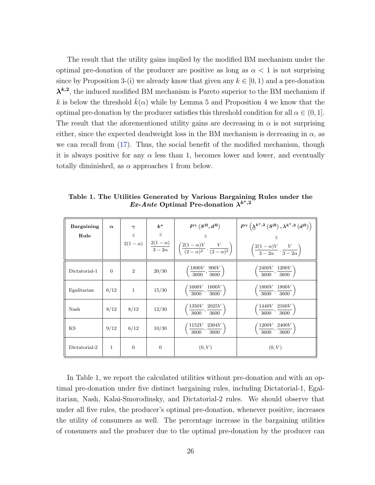The result that the utility gains implied by the modified BM mechanism under the optimal pre-donation of the producer are positive as long as  $\alpha < 1$  is not surprising since by Proposition 3-(i) we already know that given any  $k \in [0, 1)$  and a pre-donation  $\lambda^{k,2}$ , the induced modified BM mechanism is Pareto superior to the BM mechanism if k is below the threshold  $k(\alpha)$  while by Lemma 5 and Proposition 4 we know that the optimal pre-donation by the producer satisfies this threshold condition for all  $\alpha \in (0,1]$ . The result that the aforementioned utility gains are decreasing in  $\alpha$  is not surprising either, since the expected deadweight loss in the BM mechanism is decreasing in  $\alpha$ , as we can recall from (17). Thus, the social benefit of the modified mechanism, though it is always positive for any  $\alpha$  less than 1, becomes lower and lower, and eventually totally diminished, as  $\alpha$  approaches 1 from below.

| Bargaining    | $\alpha$     | $\gamma$       | $k^*$        | $P^{\gamma}\left(S^R,d^R\right)$                                                                                                                      | $P^{\gamma}\left(\underline{\lambda}^{k^{*},2}\left(S^{R}\right),\lambda^{k^{*},2}\left(d^{R}\right)\right)$ |
|---------------|--------------|----------------|--------------|-------------------------------------------------------------------------------------------------------------------------------------------------------|--------------------------------------------------------------------------------------------------------------|
| Rule          |              | $\parallel$    | $\parallel$  |                                                                                                                                                       |                                                                                                              |
|               |              |                |              | $2(1-\alpha)\ \left \ \ \frac{2(1-\alpha)}{3-2\alpha}\ \ \right \ \left(\frac{2(1-\alpha)V}{(2-\alpha)^2}\,,\frac{V}{(2-\alpha)^2}\right)\ \ \right $ | $\left(\frac{2(1-\alpha)V}{3-2\alpha},\frac{V}{3-2\alpha}\right)$                                            |
| Dictatorial-1 | $\Omega$     | $\overline{2}$ | 20/30        | $\left(\frac{1800V}{3600}, \frac{900V}{3600}\right)$                                                                                                  | $\left(\frac{2400V}{3600}, \frac{1200V}{3600}\right)$                                                        |
| Egalitarian   | 6/12         | $\mathbf{1}$   | 15/30        | $\left(\frac{1600V}{3600}, \frac{1600V}{3600}\right)$                                                                                                 | $\left(\frac{1800V}{3600}, \frac{1800V}{3600}\right)$                                                        |
| Nash          | 8/12         | 8/12           | 12/30        | $\left(\frac{1350V}{3600}, \frac{2025V}{3600}\right)$                                                                                                 | $\left(\frac{1440V}{3600}, \frac{2160V}{3600}\right)$                                                        |
| KS            | 9/12         | 6/12           | 10/30        | $\left(\frac{1152V}{3600}, \frac{2304V}{3600}\right)$                                                                                                 | $\left(\frac{1200V}{3600}, \frac{2400V}{3600}\right)$                                                        |
| Dictatorial-2 | $\mathbf{1}$ | $\overline{0}$ | $\mathbf{0}$ | (0, V)                                                                                                                                                | (0, V)                                                                                                       |

Table 1. The Utilities Generated by Various Bargaining Rules under the  $Ex-Ante$  Optimal Pre-donation  $\lambda^{k^*2}$ 

In Table 1, we report the calculated utilities without pre-donation and with an optimal pre-donation under five distinct bargaining rules, including Dictatorial-1, Egalitarian, Nash, Kalai-Smorodinsky, and Dictatorial-2 rules. We should observe that under all five rules, the producer's optimal pre-donation, whenever positive, increases the utility of consumers as well. The percentage increase in the bargaining utilities of consumers and the producer due to the optimal pre-donation by the producer can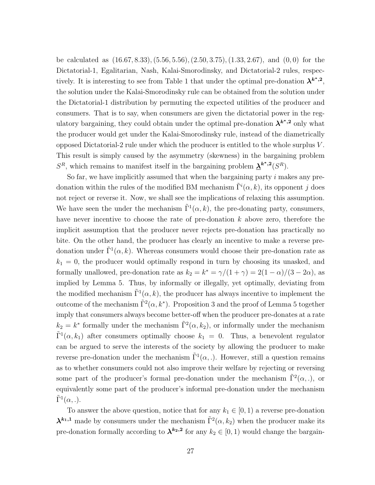be calculated as (16.67, 8.33),(5.56, 5.56),(2.50, 3.75),(1.33, 2.67), and (0, 0) for the Dictatorial-1, Egalitarian, Nash, Kalai-Smorodinsky, and Dictatorial-2 rules, respectively. It is interesting to see from Table 1 that under the optimal pre-donation  $\lambda^{k^*2}$ , the solution under the Kalai-Smorodinsky rule can be obtained from the solution under the Dictatorial-1 distribution by permuting the expected utilities of the producer and consumers. That is to say, when consumers are given the dictatorial power in the regulatory bargaining, they could obtain under the optimal pre-donation  $\lambda^{k^*2}$  only what the producer would get under the Kalai-Smorodinsky rule, instead of the diametrically opposed Dictatorial-2 rule under which the producer is entitled to the whole surplus  $V$ . This result is simply caused by the asymmetry (skewness) in the bargaining problem  $S<sup>R</sup>$ , which remains to manifest itself in the bargaining problem  $\mathbf{\underline{\lambda}}^{k^*,2}(S<sup>R</sup>)$ .

So far, we have implicitly assumed that when the bargaining party  $i$  makes any predonation within the rules of the modified BM mechanism  $\tilde{\Gamma}^i(\alpha, k)$ , its opponent j does not reject or reverse it. Now, we shall see the implications of relaxing this assumption. We have seen the under the mechanism  $\tilde{\Gamma}^1(\alpha, k)$ , the pre-donating party, consumers, have never incentive to choose the rate of pre-donation  $k$  above zero, therefore the implicit assumption that the producer never rejects pre-donation has practically no bite. On the other hand, the producer has clearly an incentive to make a reverse predonation under  $\tilde{\Gamma}^1(\alpha, k)$ . Whereas consumers would choose their pre-donation rate as  $k_1 = 0$ , the producer would optimally respond in turn by choosing its unasked, and formally unallowed, pre-donation rate as  $k_2 = k^* = \frac{\gamma}{(1 + \gamma)} = \frac{2(1 - \alpha)}{(3 - 2\alpha)}$ , as implied by Lemma 5. Thus, by informally or illegally, yet optimally, deviating from the modified mechanism  $\tilde{\Gamma}^1(\alpha, k)$ , the producer has always incentive to implement the outcome of the mechanism  $\tilde{\Gamma}^2(\alpha, k^*)$ . Proposition 3 and the proof of Lemma 5 together imply that consumers always become better-off when the producer pre-donates at a rate  $k_2 = k^*$  formally under the mechanism  $\tilde{\Gamma}^2(\alpha, k_2)$ , or informally under the mechanism  $\tilde{\Gamma}^1(\alpha, k_1)$  after consumers optimally choose  $k_1 = 0$ . Thus, a benevolent regulator can be argued to serve the interests of the society by allowing the producer to make reverse pre-donation under the mechanism  $\tilde{\Gamma}^1(\alpha,.)$ . However, still a question remains as to whether consumers could not also improve their welfare by rejecting or reversing some part of the producer's formal pre-donation under the mechanism  $\tilde{\Gamma}^2(\alpha,.)$ , or equivalently some part of the producer's informal pre-donation under the mechanism  $\tilde{\Gamma}^1(\alpha, .).$ 

To answer the above question, notice that for any  $k_1 \in [0, 1)$  a reverse pre-donation  $\lambda^{k_1,1}$  made by consumers under the mechanism  $\tilde{\Gamma}^2(\alpha, k_2)$  when the producer make its pre-donation formally according to  $\lambda^{k_2,2}$  for any  $k_2 \in [0,1)$  would change the bargain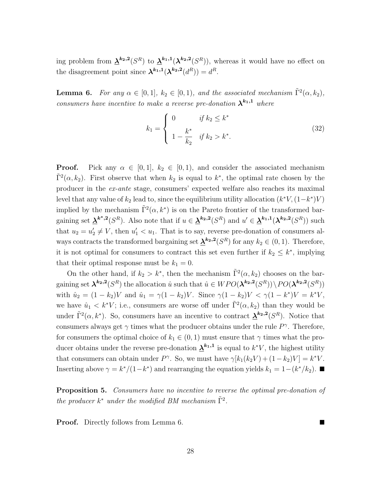ing problem from  $\underline{\lambda}^{k_2,2}(S^R)$  to  $\underline{\lambda}^{k_1,1}(\lambda^{k_2,2}(S^R))$ , whereas it would have no effect on the disagreement point since  $\lambda^{k_1,1}(\lambda^{k_2,2}(d^R)) = d^R$ .

**Lemma 6.** For any  $\alpha \in [0,1]$ ,  $k_2 \in [0,1)$ , and the associated mechanism  $\tilde{\Gamma}^2(\alpha, k_2)$ , consumers have incentive to make a reverse pre-donation  $\lambda^{k_1,1}$  where

$$
k_1 = \begin{cases} 0 & \text{if } k_2 \le k^* \\ 1 - \frac{k^*}{k_2} & \text{if } k_2 > k^*. \end{cases}
$$
 (32)

**Proof.** Pick any  $\alpha \in [0,1]$ ,  $k_2 \in [0,1)$ , and consider the associated mechanism  $\tilde{\Gamma}^2(\alpha, k_2)$ . First observe that when  $k_2$  is equal to  $k^*$ , the optimal rate chosen by the producer in the ex-ante stage, consumers' expected welfare also reaches its maximal level that any value of  $k_2$  lead to, since the equilibrium utility allocation  $(k^*V, (1-k^*)V)$ implied by the mechanism  $\tilde{\Gamma}^2(\alpha, k^*)$  is on the Pareto frontier of the transformed bargaining set  $\underline{\lambda}^{k^*,2}(S^R)$ . Also note that if  $u \in \underline{\lambda}^{k_2,2}(S^R)$  and  $u' \in \underline{\lambda}^{k_1,1}(\lambda^{k_2,2}(S^R))$  such that  $u_2 = u'_2 \neq V$ , then  $u'_1 < u_1$ . That is to say, reverse pre-donation of consumers always contracts the transformed bargaining set  $\mathbf{\underline{\lambda}}^{k_2,2}(S^R)$  for any  $k_2 \in (0,1)$ . Therefore, it is not optimal for consumers to contract this set even further if  $k_2 \leq k^*$ , implying that their optimal response must be  $k_1 = 0$ .

On the other hand, if  $k_2 > k^*$ , then the mechanism  $\tilde{\Gamma}^2(\alpha, k_2)$  chooses on the bargaining set  $\mathbf{\lambda}^{k_2,2}(S^R)$  the allocation  $\hat{u}$  such that  $\hat{u} \in WPO(\mathbf{\lambda}^{k_2,2}(S^R)) \setminus PO(\mathbf{\lambda}^{k_2,2}(S^R))$ with  $\hat{u}_2 = (1 - k_2)V$  and  $\hat{u}_1 = \gamma(1 - k_2)V$ . Since  $\gamma(1 - k_2)V < \gamma(1 - k^*)V = k^*V$ , we have  $\hat{u}_1 < k^*V$ ; i.e., consumers are worse off under  $\tilde{\Gamma}^2(\alpha, k_2)$  than they would be under  $\tilde{\Gamma}^2(\alpha, k^*)$ . So, consumers have an incentive to contract  $\mathbf{\underline{\lambda}}^{k_2,2}(S^R)$ . Notice that consumers always get  $\gamma$  times what the producer obtains under the rule  $P^{\gamma}$ . Therefore, for consumers the optimal choice of  $k_1 \in (0, 1)$  must ensure that  $\gamma$  times what the producer obtains under the reverse pre-donation  $\mathbf{\underline{\lambda}}^{k_1,1}$  is equal to  $k^*V$ , the highest utility that consumers can obtain under  $P^{\gamma}$ . So, we must have  $\gamma[k_1(k_2V) + (1-k_2)V] = k^*V$ . Inserting above  $\gamma = k^*/(1-k^*)$  and rearranging the equation yields  $k_1 = 1-(k^*/k_2)$ .

Proposition 5. Consumers have no incentive to reverse the optimal pre-donation of the producer  $k^*$  under the modified BM mechanism  $\tilde{\Gamma}^2$ .

**Proof.** Directly follows from Lemma 6.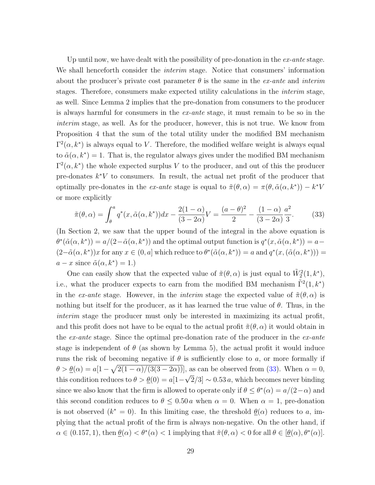Up until now, we have dealt with the possibility of pre-donation in the  $ex$ -ante stage. We shall henceforth consider the *interim* stage. Notice that consumers' information about the producer's private cost parameter  $\theta$  is the same in the *ex-ante* and *interim* stages. Therefore, consumers make expected utility calculations in the interim stage, as well. Since Lemma 2 implies that the pre-donation from consumers to the producer is always harmful for consumers in the ex-ante stage, it must remain to be so in the interim stage, as well. As for the producer, however, this is not true. We know from Proposition 4 that the sum of the total utility under the modified BM mechanism  $\Gamma^2(\alpha, k^*)$  is always equal to V. Therefore, the modified welfare weight is always equal to  $\tilde{\alpha}(\alpha, k^*) = 1$ . That is, the regulator always gives under the modified BM mechanism  $\Gamma^2(\alpha, k^*)$  the whole expected surplus V to the producer, and out of this the producer pre-donates  $k^*V$  to consumers. In result, the actual net profit of the producer that optimally pre-donates in the ex-ante stage is equal to  $\tilde{\pi}(\theta, \alpha) = \pi(\theta, \tilde{\alpha}(\alpha, k^*)) - k^*V$ or more explicitly

$$
\tilde{\pi}(\theta,\alpha) = \int_{\theta}^{a} q^*(x,\tilde{\alpha}(\alpha,k^*))dx - \frac{2(1-\alpha)}{(3-2\alpha)}V = \frac{(a-\theta)^2}{2} - \frac{(1-\alpha)}{(3-2\alpha)}\frac{a^2}{3}.
$$
 (33)

(In Section 2, we saw that the upper bound of the integral in the above equation is  $\theta^*(\tilde{\alpha}(\alpha, k^*)) = a/(2-\tilde{\alpha}(\alpha, k^*))$  and the optimal output function is  $q^*(x, \tilde{\alpha}(\alpha, k^*)) = a (2-\tilde{\alpha}(\alpha, k^*))x$  for any  $x \in (0, a]$  which reduce to  $\theta^*(\tilde{\alpha}(\alpha, k^*)) = a$  and  $q^*(x, (\tilde{\alpha}(\alpha, k^*))$  $a - x$  since  $\tilde{\alpha}(\alpha, k^*) = 1$ .)

One can easily show that the expected value of  $\tilde{\pi}(\theta, \alpha)$  is just equal to  $\tilde{W}_2^2(1, k^*)$ , i.e., what the producer expects to earn from the modified BM mechanism  $\tilde{\Gamma}^2(1, k^*)$ in the ex-ante stage. However, in the interim stage the expected value of  $\tilde{\pi}(\theta,\alpha)$  is nothing but itself for the producer, as it has learned the true value of  $\theta$ . Thus, in the interim stage the producer must only be interested in maximizing its actual profit, and this profit does not have to be equal to the actual profit  $\tilde{\pi}(\theta,\alpha)$  it would obtain in the  $ex$ -ante stage. Since the optimal pre-donation rate of the producer in the  $ex$ -ante stage is independent of  $\theta$  (as shown by Lemma 5), the actual profit it would induce runs the risk of becoming negative if  $\theta$  is sufficiently close to a, or more formally if  $\theta > \underline{\theta}(\alpha) = a[1 - \sqrt{2(1 - \alpha)/(3(3 - 2\alpha))}],$  as can be observed from (33). When  $\alpha = 0$ , this condition reduces to  $\theta > \underline{\theta}(0) = a[1-\sqrt{2}/3] \sim 0.53 a$ , which becomes never binding since we also know that the firm is allowed to operate only if  $\theta \leq \theta^*(\alpha) = a/(2-\alpha)$  and this second condition reduces to  $\theta \leq 0.50 \alpha$  when  $\alpha = 0$ . When  $\alpha = 1$ , pre-donation is not observed  $(k^* = 0)$ . In this limiting case, the threshold  $\underline{\theta}(\alpha)$  reduces to a, implying that the actual profit of the firm is always non-negative. On the other hand, if  $\alpha \in (0.157, 1)$ , then  $\underline{\theta}(\alpha) < \theta^*(\alpha) < 1$  implying that  $\tilde{\pi}(\theta, \alpha) < 0$  for all  $\theta \in [\underline{\theta}(\alpha), \theta^*(\alpha)].$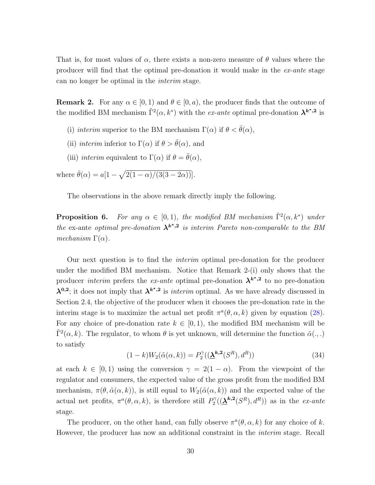That is, for most values of  $\alpha$ , there exists a non-zero measure of  $\theta$  values where the producer will find that the optimal pre-donation it would make in the ex-ante stage can no longer be optimal in the interim stage.

**Remark 2.** For any  $\alpha \in [0, 1)$  and  $\theta \in [0, a)$ , the producer finds that the outcome of the modified BM mechanism  $\tilde{\Gamma}^2(\alpha, k^*)$  with the *ex-ante* optimal pre-donation  $\lambda^{k^*,2}$  is

- (i) interim superior to the BM mechanism  $\Gamma(\alpha)$  if  $\theta < \bar{\theta}(\alpha)$ ,
- (ii) interim inferior to  $\Gamma(\alpha)$  if  $\theta > \bar{\theta}(\alpha)$ , and
- (iii) interim equivalent to  $\Gamma(\alpha)$  if  $\theta = \bar{\theta}(\alpha)$ ,

where  $\bar{\theta}(\alpha) = a[1 - \sqrt{2(1 - \alpha)/(3(3 - 2\alpha))}].$ 

The observations in the above remark directly imply the following.

**Proposition 6.** For any  $\alpha \in [0,1)$ , the modified BM mechanism  $\tilde{\Gamma}^2(\alpha, k^*)$  under the ex-ante optimal pre-donation  $\lambda^{k^*2}$  is interim Pareto non-comparable to the BM mechanism  $\Gamma(\alpha)$ .

Our next question is to find the interim optimal pre-donation for the producer under the modified BM mechanism. Notice that Remark 2-(i) only shows that the producer *interim* prefers the ex-ante optimal pre-donation  $\lambda^{k^*2}$  to no pre-donation  $\lambda^{0,2}$ ; it does not imply that  $\lambda^{k^*2}$  is *interim* optimal. As we have already discussed in Section 2.4, the objective of the producer when it chooses the pre-donation rate in the interim stage is to maximize the actual net profit  $\pi^a(\theta, \alpha, k)$  given by equation (28). For any choice of pre-donation rate  $k \in [0, 1)$ , the modified BM mechanism will be  $\tilde{\Gamma}^2(\alpha, k)$ . The regulator, to whom  $\theta$  is yet unknown, will determine the function  $\tilde{\alpha}(.,.)$ to satisfy

$$
(1-k)W_2(\tilde{\alpha}(\alpha,k)) = P_2^{\gamma}((\underline{\lambda}^{k,2}(S^R), d^R))
$$
\n(34)

at each  $k \in [0, 1)$  using the conversion  $\gamma = 2(1 - \alpha)$ . From the viewpoint of the regulator and consumers, the expected value of the gross profit from the modified BM mechanism,  $\pi(\theta, \tilde{\alpha}(\alpha, k))$ , is still equal to  $W_2(\tilde{\alpha}(\alpha, k))$  and the expected value of the actual net profits,  $\pi^a(\theta, \alpha, k)$ , is therefore still  $P_2^{\gamma}$  $2^{\gamma}((\underline{\lambda}^{k,2}(S^R),d^R))$  as in the ex-ante stage.

The producer, on the other hand, can fully observe  $\pi^a(\theta, \alpha, k)$  for any choice of k. However, the producer has now an additional constraint in the interim stage. Recall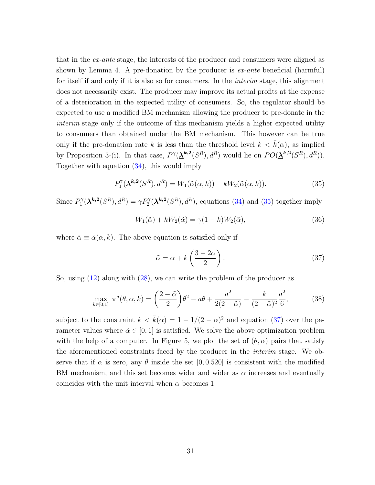that in the ex-ante stage, the interests of the producer and consumers were aligned as shown by Lemma 4. A pre-donation by the producer is  $ex$ -ante beneficial (harmful) for itself if and only if it is also so for consumers. In the interim stage, this alignment does not necessarily exist. The producer may improve its actual profits at the expense of a deterioration in the expected utility of consumers. So, the regulator should be expected to use a modified BM mechanism allowing the producer to pre-donate in the interim stage only if the outcome of this mechanism yields a higher expected utility to consumers than obtained under the BM mechanism. This however can be true only if the pre-donation rate k is less than the threshold level  $k < \bar{k}(\alpha)$ , as implied by Proposition 3-(i). In that case,  $P^{\gamma}(\mathbf{\underline{\lambda}}^{k,2}(S^R), d^R)$  would lie on  $PO(\mathbf{\underline{\lambda}}^{k,2}(S^R), d^R)$ . Together with equation (34), this would imply

$$
P_1^{\gamma}(\underline{\lambda}^{k,2}(S^R), d^R) = W_1(\tilde{\alpha}(\alpha, k)) + kW_2(\tilde{\alpha}(\alpha, k)).
$$
\n(35)

Since  $P_1^{\gamma}$  $\gamma_1^{\gamma}(\underline{\lambda}^{k,2}(S^R), d^R) = \gamma P_2^{\gamma}(\underline{\lambda}^{k,2}(S^R), d^R)$ , equations (34) and (35) together imply

$$
W_1(\tilde{\alpha}) + k W_2(\tilde{\alpha}) = \gamma (1 - k) W_2(\tilde{\alpha}), \tag{36}
$$

where  $\tilde{\alpha} \equiv \tilde{\alpha}(\alpha, k)$ . The above equation is satisfied only if

$$
\tilde{\alpha} = \alpha + k \left( \frac{3 - 2\alpha}{2} \right). \tag{37}
$$

So, using (12) along with (28), we can write the problem of the producer as

$$
\max_{k \in [0,1]} \pi^a(\theta, \alpha, k) = \left(\frac{2-\tilde{\alpha}}{2}\right)\theta^2 - a\theta + \frac{a^2}{2(2-\tilde{\alpha})} - \frac{k}{(2-\tilde{\alpha})^2}\frac{a^2}{6},\tag{38}
$$

subject to the constraint  $k < \bar{k}(\alpha) = 1 - 1/(2 - \alpha)^2$  and equation (37) over the parameter values where  $\tilde{\alpha} \in [0, 1]$  is satisfied. We solve the above optimization problem with the help of a computer. In Figure 5, we plot the set of  $(\theta, \alpha)$  pairs that satisfy the aforementioned constraints faced by the producer in the interim stage. We observe that if  $\alpha$  is zero, any  $\theta$  inside the set  $[0, 0.520]$  is consistent with the modified BM mechanism, and this set becomes wider and wider as  $\alpha$  increases and eventually coincides with the unit interval when  $\alpha$  becomes 1.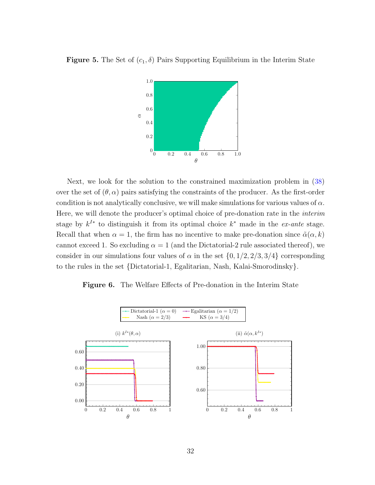



Next, we look for the solution to the constrained maximization problem in (38) over the set of  $(\theta, \alpha)$  pairs satisfying the constraints of the producer. As the first-order condition is not analytically conclusive, we will make simulations for various values of  $\alpha$ . Here, we will denote the producer's optimal choice of pre-donation rate in the interim stage by  $k^{I*}$  to distinguish it from its optimal choice  $k^*$  made in the ex-ante stage. Recall that when  $\alpha = 1$ , the firm has no incentive to make pre-donation since  $\tilde{\alpha}(\alpha, k)$ cannot exceed 1. So excluding  $\alpha = 1$  (and the Dictatorial-2 rule associated thereof), we consider in our simulations four values of  $\alpha$  in the set  $\{0, 1/2, 2/3, 3/4\}$  corresponding to the rules in the set {Dictatorial-1, Egalitarian, Nash, Kalai-Smorodinsky}.

Figure 6. The Welfare Effects of Pre-donation in the Interim State

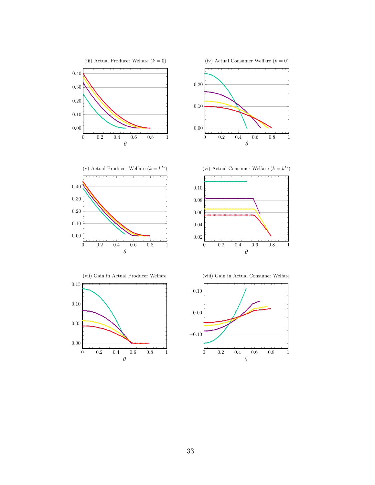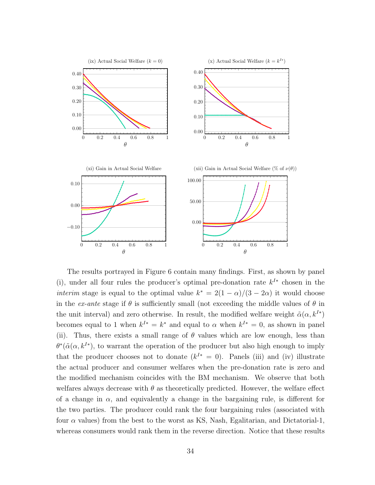

The results portrayed in Figure 6 contain many findings. First, as shown by panel (i), under all four rules the producer's optimal pre-donation rate  $k^{I*}$  chosen in the *interim* stage is equal to the optimal value  $k^* = 2(1 - \alpha)/(3 - 2\alpha)$  it would choose in the ex-ante stage if  $\theta$  is sufficiently small (not exceeding the middle values of  $\theta$  in the unit interval) and zero otherwise. In result, the modified welfare weight  $\tilde{\alpha}(\alpha, k^{I*})$ becomes equal to 1 when  $k^{I*} = k^*$  and equal to  $\alpha$  when  $k^{I*} = 0$ , as shown in panel (ii). Thus, there exists a small range of  $\theta$  values which are low enough, less than  $\theta^*(\tilde{\alpha}(\alpha, k^{I*})$ , to warrant the operation of the producer but also high enough to imply that the producer chooses not to donate  $(k^{I*} = 0)$ . Panels (iii) and (iv) illustrate the actual producer and consumer welfares when the pre-donation rate is zero and the modified mechanism coincides with the BM mechanism. We observe that both welfares always decrease with  $\theta$  as theoretically predicted. However, the welfare effect of a change in  $\alpha$ , and equivalently a change in the bargaining rule, is different for the two parties. The producer could rank the four bargaining rules (associated with four  $\alpha$  values) from the best to the worst as KS, Nash, Egalitarian, and Dictatorial-1, whereas consumers would rank them in the reverse direction. Notice that these results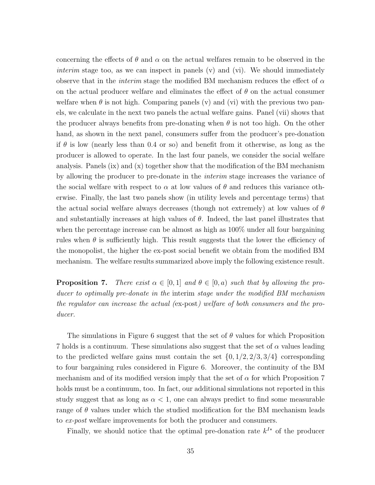concerning the effects of  $\theta$  and  $\alpha$  on the actual welfares remain to be observed in the *interim* stage too, as we can inspect in panels  $(v)$  and  $(vi)$ . We should immediately observe that in the *interim* stage the modified BM mechanism reduces the effect of  $\alpha$ on the actual producer welfare and eliminates the effect of  $\theta$  on the actual consumer welfare when  $\theta$  is not high. Comparing panels (v) and (vi) with the previous two panels, we calculate in the next two panels the actual welfare gains. Panel (vii) shows that the producer always benefits from pre-donating when  $\theta$  is not too high. On the other hand, as shown in the next panel, consumers suffer from the producer's pre-donation if  $\theta$  is low (nearly less than 0.4 or so) and benefit from it otherwise, as long as the producer is allowed to operate. In the last four panels, we consider the social welfare analysis. Panels (ix) and (x) together show that the modification of the BM mechanism by allowing the producer to pre-donate in the interim stage increases the variance of the social welfare with respect to  $\alpha$  at low values of  $\theta$  and reduces this variance otherwise. Finally, the last two panels show (in utility levels and percentage terms) that the actual social welfare always decreases (though not extremely) at low values of  $\theta$ and substantially increases at high values of  $\theta$ . Indeed, the last panel illustrates that when the percentage increase can be almost as high as  $100\%$  under all four bargaining rules when  $\theta$  is sufficiently high. This result suggests that the lower the efficiency of the monopolist, the higher the ex-post social benefit we obtain from the modified BM mechanism. The welfare results summarized above imply the following existence result.

**Proposition 7.** There exist  $\alpha \in [0,1]$  and  $\theta \in [0,a)$  such that by allowing the producer to optimally pre-donate in the interim stage under the modified BM mechanism the regulator can increase the actual (ex-post) welfare of both consumers and the producer.

The simulations in Figure 6 suggest that the set of  $\theta$  values for which Proposition 7 holds is a continuum. These simulations also suggest that the set of  $\alpha$  values leading to the predicted welfare gains must contain the set  $\{0, 1/2, 2/3, 3/4\}$  corresponding to four bargaining rules considered in Figure 6. Moreover, the continuity of the BM mechanism and of its modified version imply that the set of  $\alpha$  for which Proposition 7 holds must be a continuum, too. In fact, our additional simulations not reported in this study suggest that as long as  $\alpha < 1$ , one can always predict to find some measurable range of  $\theta$  values under which the studied modification for the BM mechanism leads to ex-post welfare improvements for both the producer and consumers.

Finally, we should notice that the optimal pre-donation rate  $k^{I*}$  of the producer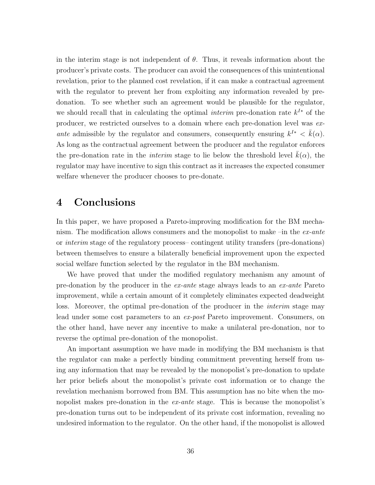in the interim stage is not independent of  $\theta$ . Thus, it reveals information about the producer's private costs. The producer can avoid the consequences of this unintentional revelation, prior to the planned cost revelation, if it can make a contractual agreement with the regulator to prevent her from exploiting any information revealed by predonation. To see whether such an agreement would be plausible for the regulator, we should recall that in calculating the optimal *interim* pre-donation rate  $k^{I*}$  of the producer, we restricted ourselves to a domain where each pre-donation level was exante admissible by the regulator and consumers, consequently ensuring  $k^{I*} < \bar{k}(\alpha)$ . As long as the contractual agreement between the producer and the regulator enforces the pre-donation rate in the *interim* stage to lie below the threshold level  $k(\alpha)$ , the regulator may have incentive to sign this contract as it increases the expected consumer welfare whenever the producer chooses to pre-donate.

## 4 Conclusions

In this paper, we have proposed a Pareto-improving modification for the BM mechanism. The modification allows consumers and the monopolist to make  $\text{-}$ in the *ex-ante* or interim stage of the regulatory process– contingent utility transfers (pre-donations) between themselves to ensure a bilaterally beneficial improvement upon the expected social welfare function selected by the regulator in the BM mechanism.

We have proved that under the modified regulatory mechanism any amount of pre-donation by the producer in the ex-ante stage always leads to an ex-ante Pareto improvement, while a certain amount of it completely eliminates expected deadweight loss. Moreover, the optimal pre-donation of the producer in the *interim* stage may lead under some cost parameters to an ex-post Pareto improvement. Consumers, on the other hand, have never any incentive to make a unilateral pre-donation, nor to reverse the optimal pre-donation of the monopolist.

An important assumption we have made in modifying the BM mechanism is that the regulator can make a perfectly binding commitment preventing herself from using any information that may be revealed by the monopolist's pre-donation to update her prior beliefs about the monopolist's private cost information or to change the revelation mechanism borrowed from BM. This assumption has no bite when the monopolist makes pre-donation in the *ex-ante* stage. This is because the monopolist's pre-donation turns out to be independent of its private cost information, revealing no undesired information to the regulator. On the other hand, if the monopolist is allowed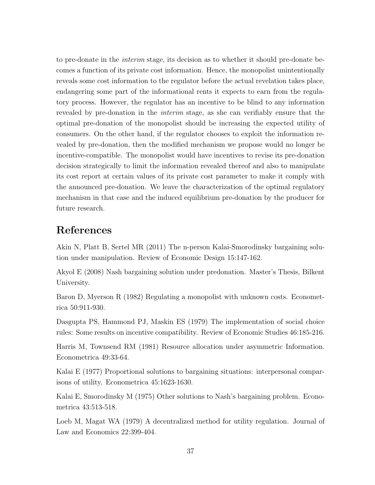to pre-donate in the interim stage, its decision as to whether it should pre-donate becomes a function of its private cost information. Hence, the monopolist unintentionally reveals some cost information to the regulator before the actual revelation takes place, endangering some part of the informational rents it expects to earn from the regulatory process. However, the regulator has an incentive to be blind to any information revealed by pre-donation in the interim stage, as she can verifiably ensure that the optimal pre-donation of the monopolist should be increasing the expected utility of consumers. On the other hand, if the regulator chooses to exploit the information revealed by pre-donation, then the modified mechanism we propose would no longer be incentive-compatible. The monopolist would have incentives to revise its pre-donation decision strategically to limit the information revealed thereof and also to manipulate its cost report at certain values of its private cost parameter to make it comply with the announced pre-donation. We leave the characterization of the optimal regulatory mechanism in that case and the induced equilibrium pre-donation by the producer for future research.

## References

Akin N, Platt B, Sertel MR (2011) The n-person Kalai-Smorodinsky bargaining solution under manipulation. Review of Economic Design 15:147-162.

Akyol E (2008) Nash bargaining solution under predonation. Master's Thesis, Bilkent University.

Baron D, Myerson R (1982) Regulating a monopolist with unknown costs. Econometrica 50:911-930.

Dasgupta PS, Hammond PJ, Maskin ES (1979) The implementation of social choice rules: Some results on incentive compatibility. Review of Economic Studies 46:185-216.

Harris M, Townsend RM (1981) Resource allocation under asymmetric Information. Econometrica 49:33-64.

Kalai E (1977) Proportional solutions to bargaining situations: interpersonal comparisons of utility. Econometrica 45:1623-1630.

Kalai E, Smorodinsky M (1975) Other solutions to Nash's bargaining problem. Econometrica 43:513-518.

Loeb M, Magat WA (1979) A decentralized method for utility regulation. Journal of Law and Economics 22:399-404.